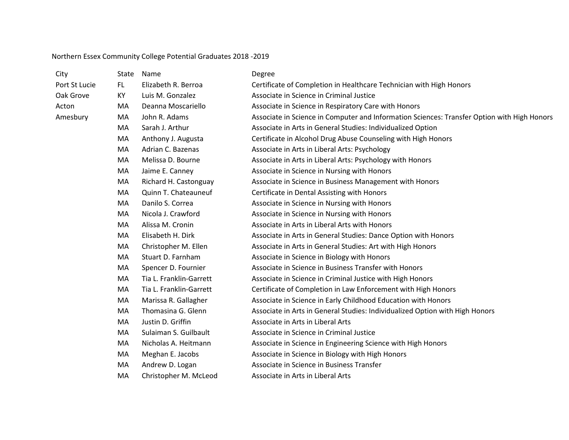## Northern Essex Community College Potential Graduates 2018 -2019

| City          | State | Name                    | Degree                                                                                      |
|---------------|-------|-------------------------|---------------------------------------------------------------------------------------------|
| Port St Lucie | FL.   | Elizabeth R. Berroa     | Certificate of Completion in Healthcare Technician with High Honors                         |
| Oak Grove     | KY    | Luis M. Gonzalez        | Associate in Science in Criminal Justice                                                    |
| Acton         | MA    | Deanna Moscariello      | Associate in Science in Respiratory Care with Honors                                        |
| Amesbury      | MA    | John R. Adams           | Associate in Science in Computer and Information Sciences: Transfer Option with High Honors |
|               | MA    | Sarah J. Arthur         | Associate in Arts in General Studies: Individualized Option                                 |
|               | MA    | Anthony J. Augusta      | Certificate in Alcohol Drug Abuse Counseling with High Honors                               |
|               | MA    | Adrian C. Bazenas       | Associate in Arts in Liberal Arts: Psychology                                               |
|               | MA    | Melissa D. Bourne       | Associate in Arts in Liberal Arts: Psychology with Honors                                   |
|               | MA    | Jaime E. Canney         | Associate in Science in Nursing with Honors                                                 |
|               | MA    | Richard H. Castonguay   | Associate in Science in Business Management with Honors                                     |
|               | MA    | Quinn T. Chateauneuf    | Certificate in Dental Assisting with Honors                                                 |
|               | MA    | Danilo S. Correa        | Associate in Science in Nursing with Honors                                                 |
|               | MA    | Nicola J. Crawford      | Associate in Science in Nursing with Honors                                                 |
|               | MA    | Alissa M. Cronin        | Associate in Arts in Liberal Arts with Honors                                               |
|               | MA    | Elisabeth H. Dirk       | Associate in Arts in General Studies: Dance Option with Honors                              |
|               | MA    | Christopher M. Ellen    | Associate in Arts in General Studies: Art with High Honors                                  |
|               | MA    | Stuart D. Farnham       | Associate in Science in Biology with Honors                                                 |
|               | MA    | Spencer D. Fournier     | Associate in Science in Business Transfer with Honors                                       |
|               | MA    | Tia L. Franklin-Garrett | Associate in Science in Criminal Justice with High Honors                                   |
|               | MA    | Tia L. Franklin-Garrett | Certificate of Completion in Law Enforcement with High Honors                               |
|               | MA    | Marissa R. Gallagher    | Associate in Science in Early Childhood Education with Honors                               |
|               | MA    | Thomasina G. Glenn      | Associate in Arts in General Studies: Individualized Option with High Honors                |
|               | MA    | Justin D. Griffin       | Associate in Arts in Liberal Arts                                                           |
|               | MA    | Sulaiman S. Guilbault   | Associate in Science in Criminal Justice                                                    |
|               | MA    | Nicholas A. Heitmann    | Associate in Science in Engineering Science with High Honors                                |
|               | MA    | Meghan E. Jacobs        | Associate in Science in Biology with High Honors                                            |
|               | MA    | Andrew D. Logan         | Associate in Science in Business Transfer                                                   |
|               | MA    | Christopher M. McLeod   | Associate in Arts in Liberal Arts                                                           |
|               |       |                         |                                                                                             |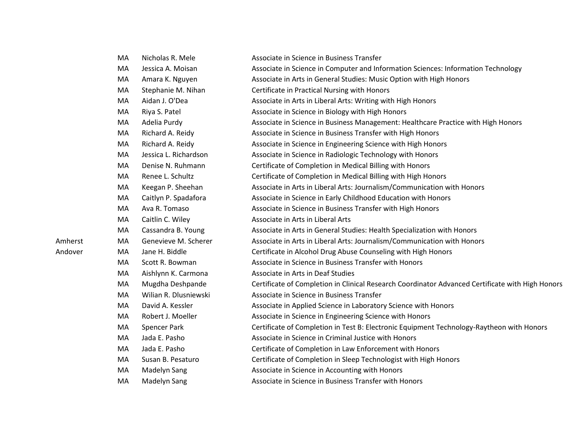|         | MA | Nicholas R. Mele      | Associate in Science in Business Transfer                                                        |
|---------|----|-----------------------|--------------------------------------------------------------------------------------------------|
|         | MA | Jessica A. Moisan     | Associate in Science in Computer and Information Sciences: Information Technology                |
|         | MA | Amara K. Nguyen       | Associate in Arts in General Studies: Music Option with High Honors                              |
|         | MA | Stephanie M. Nihan    | Certificate in Practical Nursing with Honors                                                     |
|         | MA | Aidan J. O'Dea        | Associate in Arts in Liberal Arts: Writing with High Honors                                      |
|         | MA | Riya S. Patel         | Associate in Science in Biology with High Honors                                                 |
|         | MA | Adelia Purdy          | Associate in Science in Business Management: Healthcare Practice with High Honors                |
|         | MA | Richard A. Reidy      | Associate in Science in Business Transfer with High Honors                                       |
|         | MA | Richard A. Reidy      | Associate in Science in Engineering Science with High Honors                                     |
|         | MA | Jessica L. Richardson | Associate in Science in Radiologic Technology with Honors                                        |
|         | MA | Denise N. Ruhmann     | Certificate of Completion in Medical Billing with Honors                                         |
|         | MA | Renee L. Schultz      | Certificate of Completion in Medical Billing with High Honors                                    |
|         | MA | Keegan P. Sheehan     | Associate in Arts in Liberal Arts: Journalism/Communication with Honors                          |
|         | MA | Caitlyn P. Spadafora  | Associate in Science in Early Childhood Education with Honors                                    |
|         | MA | Ava R. Tomaso         | Associate in Science in Business Transfer with High Honors                                       |
|         | MA | Caitlin C. Wiley      | Associate in Arts in Liberal Arts                                                                |
|         | MA | Cassandra B. Young    | Associate in Arts in General Studies: Health Specialization with Honors                          |
| Amherst | MA | Genevieve M. Scherer  | Associate in Arts in Liberal Arts: Journalism/Communication with Honors                          |
| Andover | MA | Jane H. Biddle        | Certificate in Alcohol Drug Abuse Counseling with High Honors                                    |
|         | MA | Scott R. Bowman       | Associate in Science in Business Transfer with Honors                                            |
|         | MA | Aishlynn K. Carmona   | Associate in Arts in Deaf Studies                                                                |
|         | MA | Mugdha Deshpande      | Certificate of Completion in Clinical Research Coordinator Advanced Certificate with High Honors |
|         | MA | Wilian R. Dlusniewski | Associate in Science in Business Transfer                                                        |
|         | MA | David A. Kessler      | Associate in Applied Science in Laboratory Science with Honors                                   |
|         | MA | Robert J. Moeller     | Associate in Science in Engineering Science with Honors                                          |
|         | MA | Spencer Park          | Certificate of Completion in Test B: Electronic Equipment Technology-Raytheon with Honors        |
|         | MA | Jada E. Pasho         | Associate in Science in Criminal Justice with Honors                                             |
|         | MA | Jada E. Pasho         | Certificate of Completion in Law Enforcement with Honors                                         |
|         | MA | Susan B. Pesaturo     | Certificate of Completion in Sleep Technologist with High Honors                                 |
|         | MA | Madelyn Sang          | Associate in Science in Accounting with Honors                                                   |
|         | MA | Madelyn Sang          | Associate in Science in Business Transfer with Honors                                            |
|         |    |                       |                                                                                                  |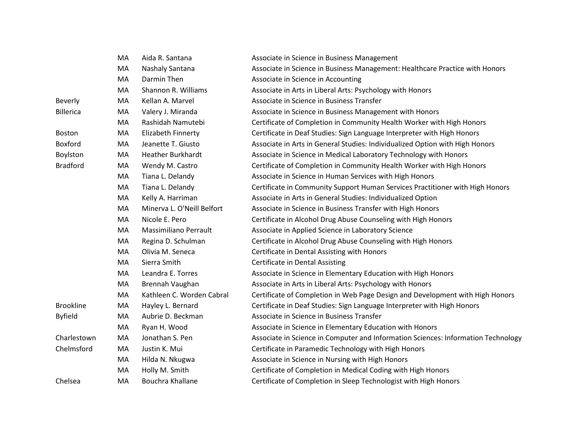|                  | MA | Aida R. Santana            | Associate in Science in Business Management                                       |
|------------------|----|----------------------------|-----------------------------------------------------------------------------------|
|                  | MA | Nashaly Santana            | Associate in Science in Business Management: Healthcare Practice with Honors      |
|                  | MA | Darmin Then                | Associate in Science in Accounting                                                |
|                  | MA | Shannon R. Williams        | Associate in Arts in Liberal Arts: Psychology with Honors                         |
| Beverly          | MA | Kellan A. Marvel           | Associate in Science in Business Transfer                                         |
| <b>Billerica</b> | MA | Valery J. Miranda          | Associate in Science in Business Management with Honors                           |
|                  | MA | Rashidah Namutebi          | Certificate of Completion in Community Health Worker with High Honors             |
| Boston           | MA | Elizabeth Finnerty         | Certificate in Deaf Studies: Sign Language Interpreter with High Honors           |
| Boxford          | MA | Jeanette T. Giusto         | Associate in Arts in General Studies: Individualized Option with High Honors      |
| Boylston         | MA | <b>Heather Burkhardt</b>   | Associate in Science in Medical Laboratory Technology with Honors                 |
| <b>Bradford</b>  | MA | Wendy M. Castro            | Certificate of Completion in Community Health Worker with High Honors             |
|                  | MA | Tiana L. Delandy           | Associate in Science in Human Services with High Honors                           |
|                  | MA | Tiana L. Delandy           | Certificate in Community Support Human Services Practitioner with High Honors     |
|                  | MA | Kelly A. Harriman          | Associate in Arts in General Studies: Individualized Option                       |
|                  | MA | Minerva L. O'Neill Belfort | Associate in Science in Business Transfer with High Honors                        |
|                  | MA | Nicole E. Pero             | Certificate in Alcohol Drug Abuse Counseling with High Honors                     |
|                  | MA | Massimiliano Perrault      | Associate in Applied Science in Laboratory Science                                |
|                  | MA | Regina D. Schulman         | Certificate in Alcohol Drug Abuse Counseling with High Honors                     |
|                  | MA | Olivia M. Seneca           | Certificate in Dental Assisting with Honors                                       |
|                  | MA | Sierra Smith               | <b>Certificate in Dental Assisting</b>                                            |
|                  | MA | Leandra E. Torres          | Associate in Science in Elementary Education with High Honors                     |
|                  | MA | Brennah Vaughan            | Associate in Arts in Liberal Arts: Psychology with Honors                         |
|                  | MA | Kathleen C. Worden Cabral  | Certificate of Completion in Web Page Design and Development with High Honors     |
| <b>Brookline</b> | MA | Hayley L. Bernard          | Certificate in Deaf Studies: Sign Language Interpreter with High Honors           |
| <b>Byfield</b>   | MA | Aubrie D. Beckman          | Associate in Science in Business Transfer                                         |
|                  | MA | Ryan H. Wood               | Associate in Science in Elementary Education with Honors                          |
| Charlestown      | MA | Jonathan S. Pen            | Associate in Science in Computer and Information Sciences: Information Technology |
| Chelmsford       | MA | Justin K. Mui              | Certificate in Paramedic Technology with High Honors                              |
|                  | MA | Hilda N. Nkugwa            | Associate in Science in Nursing with High Honors                                  |
|                  | MA | Holly M. Smith             | Certificate of Completion in Medical Coding with High Honors                      |
| Chelsea          | MA | Bouchra Khallane           | Certificate of Completion in Sleep Technologist with High Honors                  |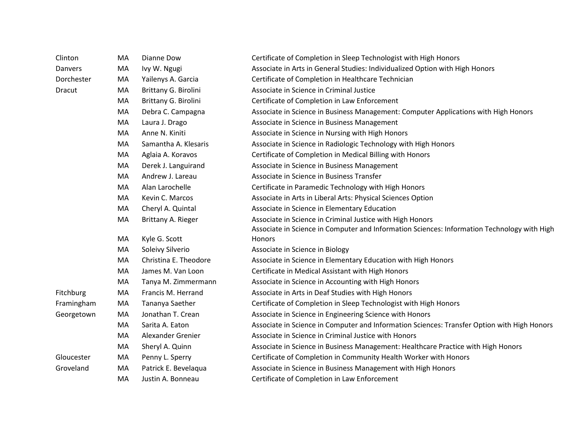| Clinton    | MA | Dianne Dow            | Certificate of Completion in Sleep Technologist with High Honors                            |
|------------|----|-----------------------|---------------------------------------------------------------------------------------------|
| Danvers    | MA | Ivy W. Ngugi          | Associate in Arts in General Studies: Individualized Option with High Honors                |
| Dorchester | MA | Yailenys A. Garcia    | Certificate of Completion in Healthcare Technician                                          |
| Dracut     | MA | Brittany G. Birolini  | Associate in Science in Criminal Justice                                                    |
|            | MA | Brittany G. Birolini  | Certificate of Completion in Law Enforcement                                                |
|            | MA | Debra C. Campagna     | Associate in Science in Business Management: Computer Applications with High Honors         |
|            | MA | Laura J. Drago        | Associate in Science in Business Management                                                 |
|            | MA | Anne N. Kiniti        | Associate in Science in Nursing with High Honors                                            |
|            | MA | Samantha A. Klesaris  | Associate in Science in Radiologic Technology with High Honors                              |
|            | MA | Aglaia A. Koravos     | Certificate of Completion in Medical Billing with Honors                                    |
|            | MA | Derek J. Languirand   | Associate in Science in Business Management                                                 |
|            | MA | Andrew J. Lareau      | Associate in Science in Business Transfer                                                   |
|            | MA | Alan Larochelle       | Certificate in Paramedic Technology with High Honors                                        |
|            | MA | Kevin C. Marcos       | Associate in Arts in Liberal Arts: Physical Sciences Option                                 |
|            | MA | Cheryl A. Quintal     | Associate in Science in Elementary Education                                                |
|            | MA | Brittany A. Rieger    | Associate in Science in Criminal Justice with High Honors                                   |
|            |    |                       | Associate in Science in Computer and Information Sciences: Information Technology with High |
|            | MA | Kyle G. Scott         | Honors                                                                                      |
|            | MA | Soleivy Silverio      | Associate in Science in Biology                                                             |
|            | MA | Christina E. Theodore | Associate in Science in Elementary Education with High Honors                               |
|            | MA | James M. Van Loon     | Certificate in Medical Assistant with High Honors                                           |
|            | MA | Tanya M. Zimmermann   | Associate in Science in Accounting with High Honors                                         |
| Fitchburg  | MA | Francis M. Herrand    | Associate in Arts in Deaf Studies with High Honors                                          |
| Framingham | MA | Tananya Saether       | Certificate of Completion in Sleep Technologist with High Honors                            |
| Georgetown | MA | Jonathan T. Crean     | Associate in Science in Engineering Science with Honors                                     |
|            | MA | Sarita A. Eaton       | Associate in Science in Computer and Information Sciences: Transfer Option with High Honors |
|            | MA | Alexander Grenier     | Associate in Science in Criminal Justice with Honors                                        |
|            | MA | Sheryl A. Quinn       | Associate in Science in Business Management: Healthcare Practice with High Honors           |
| Gloucester | MA | Penny L. Sperry       | Certificate of Completion in Community Health Worker with Honors                            |
| Groveland  | MA | Patrick E. Bevelaqua  | Associate in Science in Business Management with High Honors                                |
|            | MA | Justin A. Bonneau     | Certificate of Completion in Law Enforcement                                                |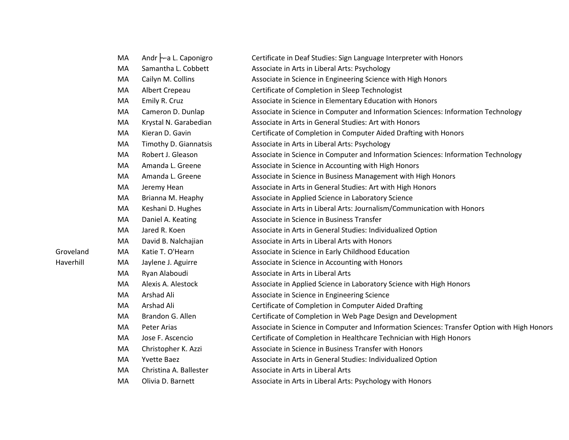|           | MA | Andr -a L. Caponigro   | Certificate in Deaf Studies: Sign Language Interpreter with Honors                          |
|-----------|----|------------------------|---------------------------------------------------------------------------------------------|
|           | MA | Samantha L. Cobbett    | Associate in Arts in Liberal Arts: Psychology                                               |
|           | MA | Cailyn M. Collins      | Associate in Science in Engineering Science with High Honors                                |
|           | MA | Albert Crepeau         | Certificate of Completion in Sleep Technologist                                             |
|           | MA | Emily R. Cruz          | Associate in Science in Elementary Education with Honors                                    |
|           | MA | Cameron D. Dunlap      | Associate in Science in Computer and Information Sciences: Information Technology           |
|           | MA | Krystal N. Garabedian  | Associate in Arts in General Studies: Art with Honors                                       |
|           | MA | Kieran D. Gavin        | Certificate of Completion in Computer Aided Drafting with Honors                            |
|           | MA | Timothy D. Giannatsis  | Associate in Arts in Liberal Arts: Psychology                                               |
|           | MA | Robert J. Gleason      | Associate in Science in Computer and Information Sciences: Information Technology           |
|           | MA | Amanda L. Greene       | Associate in Science in Accounting with High Honors                                         |
|           | MA | Amanda L. Greene       | Associate in Science in Business Management with High Honors                                |
|           | MA | Jeremy Hean            | Associate in Arts in General Studies: Art with High Honors                                  |
|           | MA | Brianna M. Heaphy      | Associate in Applied Science in Laboratory Science                                          |
|           | MA | Keshani D. Hughes      | Associate in Arts in Liberal Arts: Journalism/Communication with Honors                     |
|           | MA | Daniel A. Keating      | Associate in Science in Business Transfer                                                   |
|           | MA | Jared R. Koen          | Associate in Arts in General Studies: Individualized Option                                 |
|           | MA | David B. Nalchajian    | Associate in Arts in Liberal Arts with Honors                                               |
| Groveland | MA | Katie T. O'Hearn       | Associate in Science in Early Childhood Education                                           |
| Haverhill | MA | Jaylene J. Aguirre     | Associate in Science in Accounting with Honors                                              |
|           | MA | Ryan Alaboudi          | Associate in Arts in Liberal Arts                                                           |
|           | MA | Alexis A. Alestock     | Associate in Applied Science in Laboratory Science with High Honors                         |
|           | MA | Arshad Ali             | Associate in Science in Engineering Science                                                 |
|           | MA | Arshad Ali             | Certificate of Completion in Computer Aided Drafting                                        |
|           | MA | Brandon G. Allen       | Certificate of Completion in Web Page Design and Development                                |
|           | MA | Peter Arias            | Associate in Science in Computer and Information Sciences: Transfer Option with High Honors |
|           | MA | Jose F. Ascencio       | Certificate of Completion in Healthcare Technician with High Honors                         |
|           | MA | Christopher K. Azzi    | Associate in Science in Business Transfer with Honors                                       |
|           | MA | <b>Yvette Baez</b>     | Associate in Arts in General Studies: Individualized Option                                 |
|           | MA | Christina A. Ballester | Associate in Arts in Liberal Arts                                                           |
|           | MA | Olivia D. Barnett      | Associate in Arts in Liberal Arts: Psychology with Honors                                   |
|           |    |                        |                                                                                             |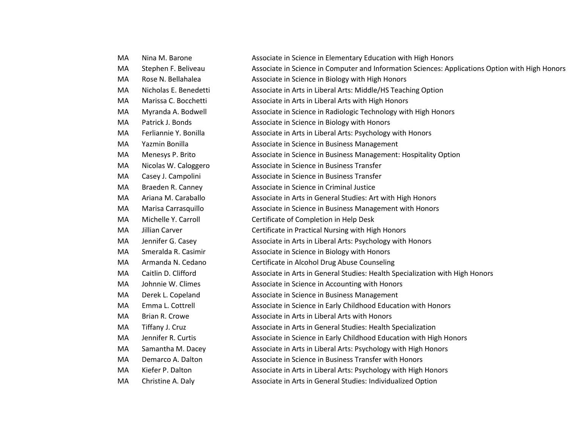| MA | Nina M. Barone        | Associate in Science in Elementary Education with High Honors                                   |
|----|-----------------------|-------------------------------------------------------------------------------------------------|
| MA | Stephen F. Beliveau   | Associate in Science in Computer and Information Sciences: Applications Option with High Honors |
| MA | Rose N. Bellahalea    | Associate in Science in Biology with High Honors                                                |
| MA | Nicholas E. Benedetti | Associate in Arts in Liberal Arts: Middle/HS Teaching Option                                    |
| MA | Marissa C. Bocchetti  | Associate in Arts in Liberal Arts with High Honors                                              |
| MA | Myranda A. Bodwell    | Associate in Science in Radiologic Technology with High Honors                                  |
| MA | Patrick J. Bonds      | Associate in Science in Biology with Honors                                                     |
| MA | Ferliannie Y. Bonilla | Associate in Arts in Liberal Arts: Psychology with Honors                                       |
| MA | Yazmin Bonilla        | Associate in Science in Business Management                                                     |
| MA | Menesys P. Brito      | Associate in Science in Business Management: Hospitality Option                                 |
| MA | Nicolas W. Caloggero  | Associate in Science in Business Transfer                                                       |
| MA | Casey J. Campolini    | Associate in Science in Business Transfer                                                       |
| MA | Braeden R. Canney     | Associate in Science in Criminal Justice                                                        |
| MA | Ariana M. Caraballo   | Associate in Arts in General Studies: Art with High Honors                                      |
| MA | Marisa Carrasquillo   | Associate in Science in Business Management with Honors                                         |
| MA | Michelle Y. Carroll   | Certificate of Completion in Help Desk                                                          |
| MA | Jillian Carver        | Certificate in Practical Nursing with High Honors                                               |
| MA | Jennifer G. Casey     | Associate in Arts in Liberal Arts: Psychology with Honors                                       |
| MA | Smeralda R. Casimir   | Associate in Science in Biology with Honors                                                     |
| MA | Armanda N. Cedano     | Certificate in Alcohol Drug Abuse Counseling                                                    |
| MA | Caitlin D. Clifford   | Associate in Arts in General Studies: Health Specialization with High Honors                    |
| MA | Johnnie W. Climes     | Associate in Science in Accounting with Honors                                                  |
| MA | Derek L. Copeland     | Associate in Science in Business Management                                                     |
| MA | Emma L. Cottrell      | Associate in Science in Early Childhood Education with Honors                                   |
| MA | Brian R. Crowe        | Associate in Arts in Liberal Arts with Honors                                                   |
| MA | Tiffany J. Cruz       | Associate in Arts in General Studies: Health Specialization                                     |
| MA | Jennifer R. Curtis    | Associate in Science in Early Childhood Education with High Honors                              |
| MA | Samantha M. Dacey     | Associate in Arts in Liberal Arts: Psychology with High Honors                                  |
| MA | Demarco A. Dalton     | Associate in Science in Business Transfer with Honors                                           |
| MA | Kiefer P. Dalton      | Associate in Arts in Liberal Arts: Psychology with High Honors                                  |
| MA | Christine A. Daly     | Associate in Arts in General Studies: Individualized Option                                     |
|    |                       |                                                                                                 |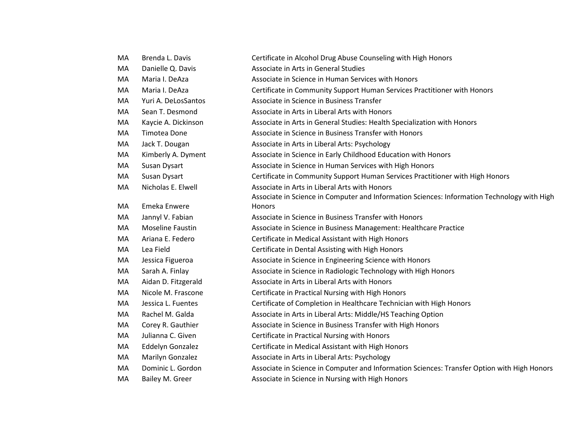| МA | Brenda L. Davis     | Certificate in Alcohol Drug Abuse Counseling with High Honors                               |
|----|---------------------|---------------------------------------------------------------------------------------------|
| МA | Danielle Q. Davis   | Associate in Arts in General Studies                                                        |
| MA | Maria I. DeAza      | Associate in Science in Human Services with Honors                                          |
| MA | Maria I. DeAza      | Certificate in Community Support Human Services Practitioner with Honors                    |
| MA | Yuri A. DeLosSantos | Associate in Science in Business Transfer                                                   |
| MA | Sean T. Desmond     | Associate in Arts in Liberal Arts with Honors                                               |
| MA | Kaycie A. Dickinson | Associate in Arts in General Studies: Health Specialization with Honors                     |
| МA | Timotea Done        | Associate in Science in Business Transfer with Honors                                       |
| МA | Jack T. Dougan      | Associate in Arts in Liberal Arts: Psychology                                               |
| МA | Kimberly A. Dyment  | Associate in Science in Early Childhood Education with Honors                               |
| MA | Susan Dysart        | Associate in Science in Human Services with High Honors                                     |
| MA | Susan Dysart        | Certificate in Community Support Human Services Practitioner with High Honors               |
| MA | Nicholas E. Elwell  | Associate in Arts in Liberal Arts with Honors                                               |
|    |                     | Associate in Science in Computer and Information Sciences: Information Technology with High |
| МA | Emeka Enwere        | <b>Honors</b>                                                                               |
| МA | Jannyl V. Fabian    | Associate in Science in Business Transfer with Honors                                       |
| МA | Moseline Faustin    | Associate in Science in Business Management: Healthcare Practice                            |
| MA | Ariana E. Federo    | Certificate in Medical Assistant with High Honors                                           |
| MA | Lea Field           | Certificate in Dental Assisting with High Honors                                            |
| MA | Jessica Figueroa    | Associate in Science in Engineering Science with Honors                                     |
| MA | Sarah A. Finlay     | Associate in Science in Radiologic Technology with High Honors                              |
| MA | Aidan D. Fitzgerald | Associate in Arts in Liberal Arts with Honors                                               |
| MA | Nicole M. Frascone  | Certificate in Practical Nursing with High Honors                                           |
| МA | Jessica L. Fuentes  | Certificate of Completion in Healthcare Technician with High Honors                         |
| МA | Rachel M. Galda     | Associate in Arts in Liberal Arts: Middle/HS Teaching Option                                |
| MA | Corey R. Gauthier   | Associate in Science in Business Transfer with High Honors                                  |
| MA | Julianna C. Given   | Certificate in Practical Nursing with Honors                                                |
| MA | Eddelyn Gonzalez    | Certificate in Medical Assistant with High Honors                                           |
| MA | Marilyn Gonzalez    | Associate in Arts in Liberal Arts: Psychology                                               |
| MA | Dominic L. Gordon   | Associate in Science in Computer and Information Sciences: Transfer Option with High Honors |
| МA | Bailey M. Greer     | Associate in Science in Nursing with High Honors                                            |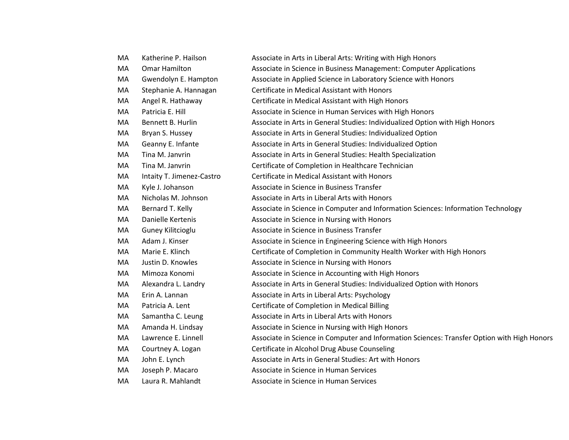| MA | Katherine P. Hailson      | Associate in Arts in Liberal Arts: Writing with High Honors                                 |
|----|---------------------------|---------------------------------------------------------------------------------------------|
| MA | Omar Hamilton             | Associate in Science in Business Management: Computer Applications                          |
| MA | Gwendolyn E. Hampton      | Associate in Applied Science in Laboratory Science with Honors                              |
| MA | Stephanie A. Hannagan     | Certificate in Medical Assistant with Honors                                                |
| MA | Angel R. Hathaway         | Certificate in Medical Assistant with High Honors                                           |
| MA | Patricia E. Hill          | Associate in Science in Human Services with High Honors                                     |
| MA | Bennett B. Hurlin         | Associate in Arts in General Studies: Individualized Option with High Honors                |
| MA | Bryan S. Hussey           | Associate in Arts in General Studies: Individualized Option                                 |
| MA | Geanny E. Infante         | Associate in Arts in General Studies: Individualized Option                                 |
| MA | Tina M. Janvrin           | Associate in Arts in General Studies: Health Specialization                                 |
| MA | Tina M. Janvrin           | Certificate of Completion in Healthcare Technician                                          |
| MA | Intaity T. Jimenez-Castro | Certificate in Medical Assistant with Honors                                                |
| MA | Kyle J. Johanson          | Associate in Science in Business Transfer                                                   |
| MA | Nicholas M. Johnson       | Associate in Arts in Liberal Arts with Honors                                               |
| МA | Bernard T. Kelly          | Associate in Science in Computer and Information Sciences: Information Technology           |
| MA | Danielle Kertenis         | Associate in Science in Nursing with Honors                                                 |
| MA | Guney Kilitcioglu         | Associate in Science in Business Transfer                                                   |
| MA | Adam J. Kinser            | Associate in Science in Engineering Science with High Honors                                |
| MA | Marie E. Klinch           | Certificate of Completion in Community Health Worker with High Honors                       |
| MA | Justin D. Knowles         | Associate in Science in Nursing with Honors                                                 |
| MA | Mimoza Konomi             | Associate in Science in Accounting with High Honors                                         |
| MA | Alexandra L. Landry       | Associate in Arts in General Studies: Individualized Option with Honors                     |
| MA | Erin A. Lannan            | Associate in Arts in Liberal Arts: Psychology                                               |
| MA | Patricia A. Lent          | Certificate of Completion in Medical Billing                                                |
| MA | Samantha C. Leung         | Associate in Arts in Liberal Arts with Honors                                               |
| MA | Amanda H. Lindsay         | Associate in Science in Nursing with High Honors                                            |
| MA | Lawrence E. Linnell       | Associate in Science in Computer and Information Sciences: Transfer Option with High Honors |
| MA | Courtney A. Logan         | Certificate in Alcohol Drug Abuse Counseling                                                |
| MA | John E. Lynch             | Associate in Arts in General Studies: Art with Honors                                       |
| МA | Joseph P. Macaro          | Associate in Science in Human Services                                                      |
| MA | Laura R. Mahlandt         | Associate in Science in Human Services                                                      |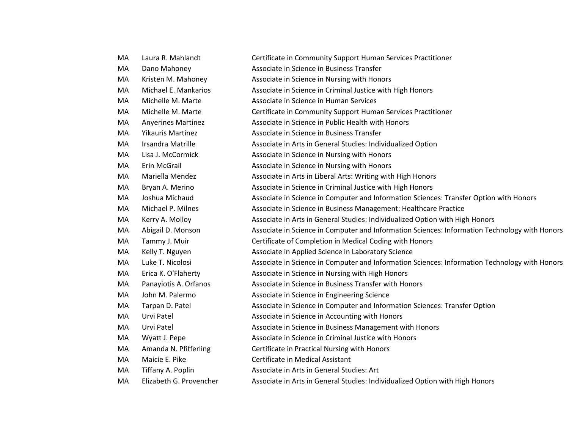| Laura R. Mahlandt         | Certificate in Community Support Human Services Practitioner                                  |
|---------------------------|-----------------------------------------------------------------------------------------------|
| Dano Mahoney              | Associate in Science in Business Transfer                                                     |
| Kristen M. Mahoney        | Associate in Science in Nursing with Honors                                                   |
| Michael E. Mankarios      | Associate in Science in Criminal Justice with High Honors                                     |
| Michelle M. Marte         | Associate in Science in Human Services                                                        |
| Michelle M. Marte         | Certificate in Community Support Human Services Practitioner                                  |
| <b>Anyerines Martinez</b> | Associate in Science in Public Health with Honors                                             |
| <b>Yikauris Martinez</b>  | Associate in Science in Business Transfer                                                     |
| Irsandra Matrille         | Associate in Arts in General Studies: Individualized Option                                   |
| Lisa J. McCormick         | Associate in Science in Nursing with Honors                                                   |
| Erin McGrail              | Associate in Science in Nursing with Honors                                                   |
| Mariella Mendez           | Associate in Arts in Liberal Arts: Writing with High Honors                                   |
| Bryan A. Merino           | Associate in Science in Criminal Justice with High Honors                                     |
| Joshua Michaud            | Associate in Science in Computer and Information Sciences: Transfer Option with Honors        |
| Michael P. Milnes         | Associate in Science in Business Management: Healthcare Practice                              |
| Kerry A. Molloy           | Associate in Arts in General Studies: Individualized Option with High Honors                  |
| Abigail D. Monson         | Associate in Science in Computer and Information Sciences: Information Technology with Honors |
| Tammy J. Muir             | Certificate of Completion in Medical Coding with Honors                                       |
| Kelly T. Nguyen           | Associate in Applied Science in Laboratory Science                                            |
| Luke T. Nicolosi          | Associate in Science in Computer and Information Sciences: Information Technology with Honors |
| Erica K. O'Flaherty       | Associate in Science in Nursing with High Honors                                              |
| Panayiotis A. Orfanos     | Associate in Science in Business Transfer with Honors                                         |
| John M. Palermo           | Associate in Science in Engineering Science                                                   |
| Tarpan D. Patel           | Associate in Science in Computer and Information Sciences: Transfer Option                    |
| Urvi Patel                | Associate in Science in Accounting with Honors                                                |
| Urvi Patel                | Associate in Science in Business Management with Honors                                       |
| Wyatt J. Pepe             | Associate in Science in Criminal Justice with Honors                                          |
| Amanda N. Pfifferling     | Certificate in Practical Nursing with Honors                                                  |
| Maicie E. Pike            | Certificate in Medical Assistant                                                              |
| Tiffany A. Poplin         | Associate in Arts in General Studies: Art                                                     |
| Elizabeth G. Provencher   | Associate in Arts in General Studies: Individualized Option with High Honors                  |
|                           |                                                                                               |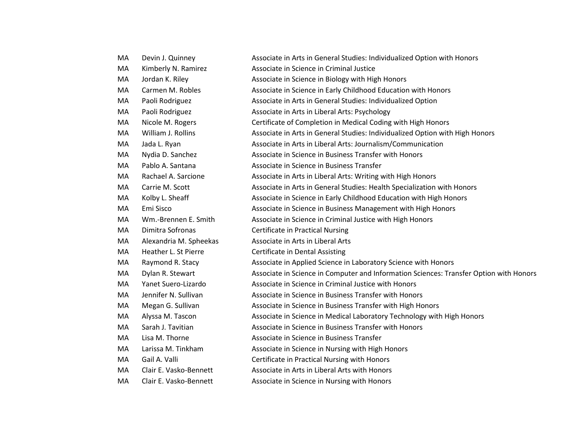| МA | Devin J. Quinney       | Associate in Arts in General Studies: Individualized Option with Honors                |
|----|------------------------|----------------------------------------------------------------------------------------|
| MA | Kimberly N. Ramirez    | Associate in Science in Criminal Justice                                               |
| MA | Jordan K. Riley        | Associate in Science in Biology with High Honors                                       |
| МA | Carmen M. Robles       | Associate in Science in Early Childhood Education with Honors                          |
| MA | Paoli Rodriguez        | Associate in Arts in General Studies: Individualized Option                            |
| МA | Paoli Rodriguez        | Associate in Arts in Liberal Arts: Psychology                                          |
| MA | Nicole M. Rogers       | Certificate of Completion in Medical Coding with High Honors                           |
| MA | William J. Rollins     | Associate in Arts in General Studies: Individualized Option with High Honors           |
| MA | Jada L. Ryan           | Associate in Arts in Liberal Arts: Journalism/Communication                            |
| MA | Nydia D. Sanchez       | Associate in Science in Business Transfer with Honors                                  |
| МA | Pablo A. Santana       | Associate in Science in Business Transfer                                              |
| МA | Rachael A. Sarcione    | Associate in Arts in Liberal Arts: Writing with High Honors                            |
| MA | Carrie M. Scott        | Associate in Arts in General Studies: Health Specialization with Honors                |
| MA | Kolby L. Sheaff        | Associate in Science in Early Childhood Education with High Honors                     |
| MA | Emi Sisco              | Associate in Science in Business Management with High Honors                           |
| MA | Wm.-Brennen E. Smith   | Associate in Science in Criminal Justice with High Honors                              |
| MA | Dimitra Sofronas       | <b>Certificate in Practical Nursing</b>                                                |
| МA | Alexandria M. Spheekas | Associate in Arts in Liberal Arts                                                      |
| MA | Heather L. St Pierre   | <b>Certificate in Dental Assisting</b>                                                 |
| MA | Raymond R. Stacy       | Associate in Applied Science in Laboratory Science with Honors                         |
| МA | Dylan R. Stewart       | Associate in Science in Computer and Information Sciences: Transfer Option with Honors |
| MA | Yanet Suero-Lizardo    | Associate in Science in Criminal Justice with Honors                                   |
| MA | Jennifer N. Sullivan   | Associate in Science in Business Transfer with Honors                                  |
| MA | Megan G. Sullivan      | Associate in Science in Business Transfer with High Honors                             |
| МA | Alyssa M. Tascon       | Associate in Science in Medical Laboratory Technology with High Honors                 |
| MA | Sarah J. Tavitian      | Associate in Science in Business Transfer with Honors                                  |
| MA | Lisa M. Thorne         | Associate in Science in Business Transfer                                              |
| МA | Larissa M. Tinkham     | Associate in Science in Nursing with High Honors                                       |
| MA | Gail A. Valli          | Certificate in Practical Nursing with Honors                                           |
| MA | Clair E. Vasko-Bennett | Associate in Arts in Liberal Arts with Honors                                          |
| MA | Clair E. Vasko-Bennett | Associate in Science in Nursing with Honors                                            |
|    |                        |                                                                                        |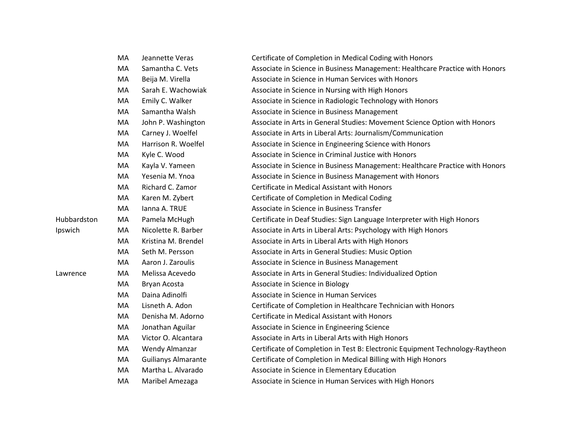|             | MA | Jeannette Veras            | Certificate of Completion in Medical Coding with Honors                       |
|-------------|----|----------------------------|-------------------------------------------------------------------------------|
|             | MA | Samantha C. Vets           | Associate in Science in Business Management: Healthcare Practice with Honors  |
|             | МA | Beija M. Virella           | Associate in Science in Human Services with Honors                            |
|             | MA | Sarah E. Wachowiak         | Associate in Science in Nursing with High Honors                              |
|             | MA | Emily C. Walker            | Associate in Science in Radiologic Technology with Honors                     |
|             | MA | Samantha Walsh             | Associate in Science in Business Management                                   |
|             | MA | John P. Washington         | Associate in Arts in General Studies: Movement Science Option with Honors     |
|             | MA | Carney J. Woelfel          | Associate in Arts in Liberal Arts: Journalism/Communication                   |
|             | MA | Harrison R. Woelfel        | Associate in Science in Engineering Science with Honors                       |
|             | MA | Kyle C. Wood               | Associate in Science in Criminal Justice with Honors                          |
|             | MA | Kayla V. Yameen            | Associate in Science in Business Management: Healthcare Practice with Honors  |
|             | MA | Yesenia M. Ynoa            | Associate in Science in Business Management with Honors                       |
|             | MA | Richard C. Zamor           | Certificate in Medical Assistant with Honors                                  |
|             | MA | Karen M. Zybert            | Certificate of Completion in Medical Coding                                   |
|             | MA | Ianna A. TRUE              | Associate in Science in Business Transfer                                     |
| Hubbardston | MA | Pamela McHugh              | Certificate in Deaf Studies: Sign Language Interpreter with High Honors       |
| Ipswich     | MA | Nicolette R. Barber        | Associate in Arts in Liberal Arts: Psychology with High Honors                |
|             | MA | Kristina M. Brendel        | Associate in Arts in Liberal Arts with High Honors                            |
|             | МA | Seth M. Persson            | Associate in Arts in General Studies: Music Option                            |
|             | MA | Aaron J. Zaroulis          | Associate in Science in Business Management                                   |
| Lawrence    | MA | Melissa Acevedo            | Associate in Arts in General Studies: Individualized Option                   |
|             | МA | Bryan Acosta               | Associate in Science in Biology                                               |
|             | MA | Daina Adinolfi             | Associate in Science in Human Services                                        |
|             | MA | Lisneth A. Adon            | Certificate of Completion in Healthcare Technician with Honors                |
|             | MA | Denisha M. Adorno          | Certificate in Medical Assistant with Honors                                  |
|             | MA | Jonathan Aguilar           | Associate in Science in Engineering Science                                   |
|             | MA | Victor O. Alcantara        | Associate in Arts in Liberal Arts with High Honors                            |
|             | MA | <b>Wendy Almanzar</b>      | Certificate of Completion in Test B: Electronic Equipment Technology-Raytheon |
|             | MA | <b>Guilianys Almarante</b> | Certificate of Completion in Medical Billing with High Honors                 |
|             | MA | Martha L. Alvarado         | Associate in Science in Elementary Education                                  |
|             | MA | Maribel Amezaga            | Associate in Science in Human Services with High Honors                       |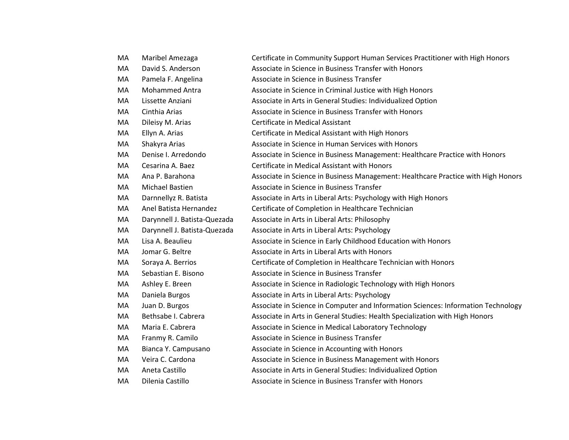| MA | Maribel Amezaga              | Certificate in Community Support Human Services Practitioner with High Honors     |
|----|------------------------------|-----------------------------------------------------------------------------------|
| MA | David S. Anderson            | Associate in Science in Business Transfer with Honors                             |
| MA | Pamela F. Angelina           | Associate in Science in Business Transfer                                         |
| MA | <b>Mohammed Antra</b>        | Associate in Science in Criminal Justice with High Honors                         |
| MA | Lissette Anziani             | Associate in Arts in General Studies: Individualized Option                       |
| MA | Cinthia Arias                | Associate in Science in Business Transfer with Honors                             |
| MA | Dileisy M. Arias             | Certificate in Medical Assistant                                                  |
| MA | Ellyn A. Arias               | Certificate in Medical Assistant with High Honors                                 |
| MA | Shakyra Arias                | Associate in Science in Human Services with Honors                                |
| MA | Denise I. Arredondo          | Associate in Science in Business Management: Healthcare Practice with Honors      |
| MA | Cesarina A. Baez             | Certificate in Medical Assistant with Honors                                      |
| MA | Ana P. Barahona              | Associate in Science in Business Management: Healthcare Practice with High Honors |
| MA | Michael Bastien              | Associate in Science in Business Transfer                                         |
| MA | Darnnellyz R. Batista        | Associate in Arts in Liberal Arts: Psychology with High Honors                    |
| MA | Anel Batista Hernandez       | Certificate of Completion in Healthcare Technician                                |
| MA | Darynnell J. Batista-Quezada | Associate in Arts in Liberal Arts: Philosophy                                     |
| MA | Darynnell J. Batista-Quezada | Associate in Arts in Liberal Arts: Psychology                                     |
| MA | Lisa A. Beaulieu             | Associate in Science in Early Childhood Education with Honors                     |
| MA | Jomar G. Beltre              | Associate in Arts in Liberal Arts with Honors                                     |
| MA | Soraya A. Berrios            | Certificate of Completion in Healthcare Technician with Honors                    |
| MA | Sebastian E. Bisono          | Associate in Science in Business Transfer                                         |
| MA | Ashley E. Breen              | Associate in Science in Radiologic Technology with High Honors                    |
| MA | Daniela Burgos               | Associate in Arts in Liberal Arts: Psychology                                     |
| MA | Juan D. Burgos               | Associate in Science in Computer and Information Sciences: Information Technology |
| MA | Bethsabe I. Cabrera          | Associate in Arts in General Studies: Health Specialization with High Honors      |
| MA | Maria E. Cabrera             | Associate in Science in Medical Laboratory Technology                             |
| MA | Franmy R. Camilo             | Associate in Science in Business Transfer                                         |
| MA | Bianca Y. Campusano          | Associate in Science in Accounting with Honors                                    |
| MA | Veira C. Cardona             | Associate in Science in Business Management with Honors                           |
| MA | Aneta Castillo               | Associate in Arts in General Studies: Individualized Option                       |
| MA | Dilenia Castillo             | Associate in Science in Business Transfer with Honors                             |
|    |                              |                                                                                   |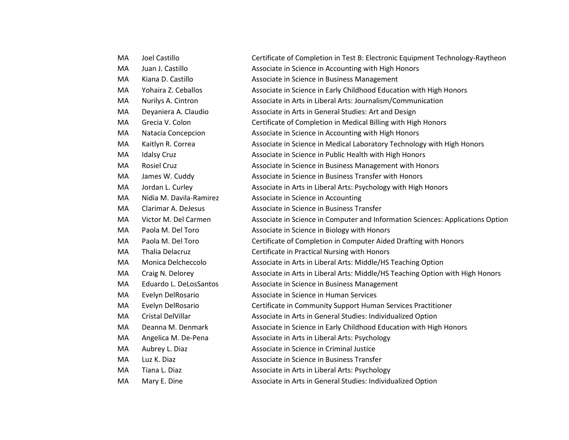| МA | Joel Castillo           | Certificate of Completion in Test B: Electronic Equipment Technology-Raytheon  |
|----|-------------------------|--------------------------------------------------------------------------------|
| MA | Juan J. Castillo        | Associate in Science in Accounting with High Honors                            |
| MA | Kiana D. Castillo       | Associate in Science in Business Management                                    |
| MA | Yohaira Z. Ceballos     | Associate in Science in Early Childhood Education with High Honors             |
| MA | Nurilys A. Cintron      | Associate in Arts in Liberal Arts: Journalism/Communication                    |
| MA | Deyaniera A. Claudio    | Associate in Arts in General Studies: Art and Design                           |
| MA | Grecia V. Colon         | Certificate of Completion in Medical Billing with High Honors                  |
| MA | Natacia Concepcion      | Associate in Science in Accounting with High Honors                            |
| MA | Kaitlyn R. Correa       | Associate in Science in Medical Laboratory Technology with High Honors         |
| MA | <b>Idalsy Cruz</b>      | Associate in Science in Public Health with High Honors                         |
| MA | <b>Rosiel Cruz</b>      | Associate in Science in Business Management with Honors                        |
| MA | James W. Cuddy          | Associate in Science in Business Transfer with Honors                          |
| MA | Jordan L. Curley        | Associate in Arts in Liberal Arts: Psychology with High Honors                 |
| MA | Nidia M. Davila-Ramirez | Associate in Science in Accounting                                             |
| MA | Clarimar A. DeJesus     | Associate in Science in Business Transfer                                      |
| MA | Victor M. Del Carmen    | Associate in Science in Computer and Information Sciences: Applications Option |
| MA | Paola M. Del Toro       | Associate in Science in Biology with Honors                                    |
| MA | Paola M. Del Toro       | Certificate of Completion in Computer Aided Drafting with Honors               |
| MA | Thalia Delacruz         | Certificate in Practical Nursing with Honors                                   |
| MA | Monica Delcheccolo      | Associate in Arts in Liberal Arts: Middle/HS Teaching Option                   |
| MA | Craig N. Delorey        | Associate in Arts in Liberal Arts: Middle/HS Teaching Option with High Honors  |
| MA | Eduardo L. DeLosSantos  | Associate in Science in Business Management                                    |
| MA | Evelyn DelRosario       | Associate in Science in Human Services                                         |
| MA | Evelyn DelRosario       | Certificate in Community Support Human Services Practitioner                   |
| MA | Cristal DelVillar       | Associate in Arts in General Studies: Individualized Option                    |
| MA | Deanna M. Denmark       | Associate in Science in Early Childhood Education with High Honors             |
| MA | Angelica M. De-Pena     | Associate in Arts in Liberal Arts: Psychology                                  |
| MA | Aubrey L. Diaz          | Associate in Science in Criminal Justice                                       |
| MA | Luz K. Diaz             | Associate in Science in Business Transfer                                      |
| MA | Tiana L. Diaz           | Associate in Arts in Liberal Arts: Psychology                                  |
| MA | Mary E. Dine            | Associate in Arts in General Studies: Individualized Option                    |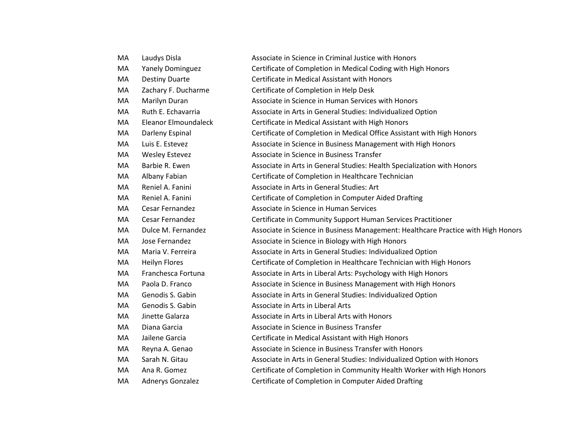| МA | Laudys Disla            | Associate in Science in Criminal Justice with Honors                              |
|----|-------------------------|-----------------------------------------------------------------------------------|
| MA | <b>Yanely Dominguez</b> | Certificate of Completion in Medical Coding with High Honors                      |
| MA | <b>Destiny Duarte</b>   | Certificate in Medical Assistant with Honors                                      |
| MA | Zachary F. Ducharme     | Certificate of Completion in Help Desk                                            |
| MA | Marilyn Duran           | Associate in Science in Human Services with Honors                                |
| MA | Ruth E. Echavarria      | Associate in Arts in General Studies: Individualized Option                       |
| MA | Eleanor Elmoundaleck    | Certificate in Medical Assistant with High Honors                                 |
| МA | Darleny Espinal         | Certificate of Completion in Medical Office Assistant with High Honors            |
| MA | Luis E. Estevez         | Associate in Science in Business Management with High Honors                      |
| MA | <b>Wesley Estevez</b>   | Associate in Science in Business Transfer                                         |
| MA | Barbie R. Ewen          | Associate in Arts in General Studies: Health Specialization with Honors           |
| MA | Albany Fabian           | Certificate of Completion in Healthcare Technician                                |
| MA | Reniel A. Fanini        | Associate in Arts in General Studies: Art                                         |
| MA | Reniel A. Fanini        | Certificate of Completion in Computer Aided Drafting                              |
| MA | Cesar Fernandez         | Associate in Science in Human Services                                            |
| МA | Cesar Fernandez         | Certificate in Community Support Human Services Practitioner                      |
| MA | Dulce M. Fernandez      | Associate in Science in Business Management: Healthcare Practice with High Honors |
| MA | Jose Fernandez          | Associate in Science in Biology with High Honors                                  |
| MA | Maria V. Ferreira       | Associate in Arts in General Studies: Individualized Option                       |
| МA | <b>Heilyn Flores</b>    | Certificate of Completion in Healthcare Technician with High Honors               |
| MA | Franchesca Fortuna      | Associate in Arts in Liberal Arts: Psychology with High Honors                    |
| MA | Paola D. Franco         | Associate in Science in Business Management with High Honors                      |
| MA | Genodis S. Gabin        | Associate in Arts in General Studies: Individualized Option                       |
| MA | Genodis S. Gabin        | Associate in Arts in Liberal Arts                                                 |
| MA | Jinette Galarza         | Associate in Arts in Liberal Arts with Honors                                     |
| MA | Diana Garcia            | Associate in Science in Business Transfer                                         |
| MA | Jailene Garcia          | Certificate in Medical Assistant with High Honors                                 |
| МA | Reyna A. Genao          | Associate in Science in Business Transfer with Honors                             |
| MA | Sarah N. Gitau          | Associate in Arts in General Studies: Individualized Option with Honors           |
| MA | Ana R. Gomez            | Certificate of Completion in Community Health Worker with High Honors             |
| МA | Adnerys Gonzalez        | Certificate of Completion in Computer Aided Drafting                              |
|    |                         |                                                                                   |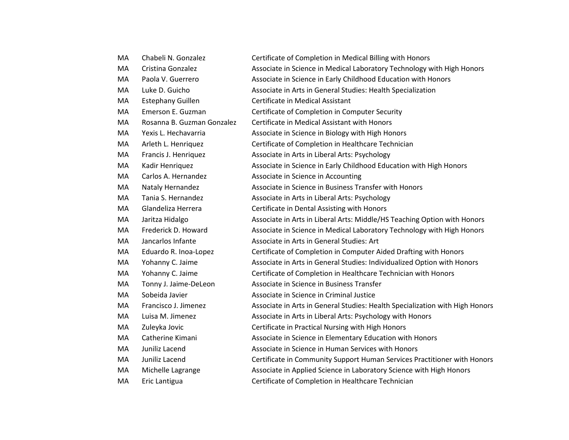| MA | Chabeli N. Gonzalez        | Certificate of Completion in Medical Billing with Honors                     |
|----|----------------------------|------------------------------------------------------------------------------|
| MA | Cristina Gonzalez          | Associate in Science in Medical Laboratory Technology with High Honors       |
| MA | Paola V. Guerrero          | Associate in Science in Early Childhood Education with Honors                |
| MA | Luke D. Guicho             | Associate in Arts in General Studies: Health Specialization                  |
| MA | <b>Estephany Guillen</b>   | Certificate in Medical Assistant                                             |
| MA | Emerson E. Guzman          | Certificate of Completion in Computer Security                               |
| MA | Rosanna B. Guzman Gonzalez | Certificate in Medical Assistant with Honors                                 |
| MA | Yexis L. Hechavarria       | Associate in Science in Biology with High Honors                             |
| MA | Arleth L. Henriquez        | Certificate of Completion in Healthcare Technician                           |
| MA | Francis J. Henriquez       | Associate in Arts in Liberal Arts: Psychology                                |
| MA | Kadir Henriquez            | Associate in Science in Early Childhood Education with High Honors           |
| MA | Carlos A. Hernandez        | Associate in Science in Accounting                                           |
| MA | Nataly Hernandez           | Associate in Science in Business Transfer with Honors                        |
| MA | Tania S. Hernandez         | Associate in Arts in Liberal Arts: Psychology                                |
| MA | Glandeliza Herrera         | Certificate in Dental Assisting with Honors                                  |
| MA | Jaritza Hidalgo            | Associate in Arts in Liberal Arts: Middle/HS Teaching Option with Honors     |
| MA | Frederick D. Howard        | Associate in Science in Medical Laboratory Technology with High Honors       |
| MA | Jancarlos Infante          | Associate in Arts in General Studies: Art                                    |
| MA | Eduardo R. Inoa-Lopez      | Certificate of Completion in Computer Aided Drafting with Honors             |
| MA | Yohanny C. Jaime           | Associate in Arts in General Studies: Individualized Option with Honors      |
| MA | Yohanny C. Jaime           | Certificate of Completion in Healthcare Technician with Honors               |
| MA | Tonny J. Jaime-DeLeon      | Associate in Science in Business Transfer                                    |
| MA | Sobeida Javier             | Associate in Science in Criminal Justice                                     |
| MA | Francisco J. Jimenez       | Associate in Arts in General Studies: Health Specialization with High Honors |
| MA | Luisa M. Jimenez           | Associate in Arts in Liberal Arts: Psychology with Honors                    |
| MA | Zuleyka Jovic              | Certificate in Practical Nursing with High Honors                            |
| MA | Catherine Kimani           | Associate in Science in Elementary Education with Honors                     |
| MA | Juniliz Lacend             | Associate in Science in Human Services with Honors                           |
| MA | Juniliz Lacend             | Certificate in Community Support Human Services Practitioner with Honors     |
| MA | Michelle Lagrange          | Associate in Applied Science in Laboratory Science with High Honors          |
| MA | Eric Lantigua              | Certificate of Completion in Healthcare Technician                           |
|    |                            |                                                                              |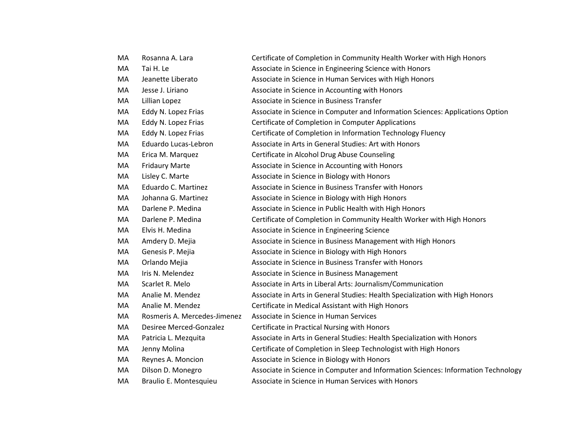| MA | Rosanna A. Lara              | Certificate of Completion in Community Health Worker with High Honors             |
|----|------------------------------|-----------------------------------------------------------------------------------|
| MA | Tai H. Le                    | Associate in Science in Engineering Science with Honors                           |
| MA | Jeanette Liberato            | Associate in Science in Human Services with High Honors                           |
| MA | Jesse J. Liriano             | Associate in Science in Accounting with Honors                                    |
| MA | Lillian Lopez                | Associate in Science in Business Transfer                                         |
| MA | Eddy N. Lopez Frias          | Associate in Science in Computer and Information Sciences: Applications Option    |
| MA | Eddy N. Lopez Frias          | Certificate of Completion in Computer Applications                                |
| MA | Eddy N. Lopez Frias          | Certificate of Completion in Information Technology Fluency                       |
| MA | Eduardo Lucas-Lebron         | Associate in Arts in General Studies: Art with Honors                             |
| MA | Erica M. Marquez             | Certificate in Alcohol Drug Abuse Counseling                                      |
| MA | <b>Fridaury Marte</b>        | Associate in Science in Accounting with Honors                                    |
| MA | Lisley C. Marte              | Associate in Science in Biology with Honors                                       |
| MA | Eduardo C. Martinez          | Associate in Science in Business Transfer with Honors                             |
| MA | Johanna G. Martinez          | Associate in Science in Biology with High Honors                                  |
| MA | Darlene P. Medina            | Associate in Science in Public Health with High Honors                            |
| MA | Darlene P. Medina            | Certificate of Completion in Community Health Worker with High Honors             |
| MA | Elvis H. Medina              | Associate in Science in Engineering Science                                       |
| MA | Amdery D. Mejia              | Associate in Science in Business Management with High Honors                      |
| MA | Genesis P. Mejia             | Associate in Science in Biology with High Honors                                  |
| MA | Orlando Mejia                | Associate in Science in Business Transfer with Honors                             |
| MA | Iris N. Melendez             | Associate in Science in Business Management                                       |
| MA | Scarlet R. Melo              | Associate in Arts in Liberal Arts: Journalism/Communication                       |
| MA | Analie M. Mendez             | Associate in Arts in General Studies: Health Specialization with High Honors      |
| MA | Analie M. Mendez             | Certificate in Medical Assistant with High Honors                                 |
| MA | Rosmeris A. Mercedes-Jimenez | Associate in Science in Human Services                                            |
| MA | Desiree Merced-Gonzalez      | Certificate in Practical Nursing with Honors                                      |
| MA | Patricia L. Mezquita         | Associate in Arts in General Studies: Health Specialization with Honors           |
| MA | Jenny Molina                 | Certificate of Completion in Sleep Technologist with High Honors                  |
| MA | Reynes A. Moncion            | Associate in Science in Biology with Honors                                       |
| MA | Dilson D. Monegro            | Associate in Science in Computer and Information Sciences: Information Technology |
| MA | Braulio E. Montesquieu       | Associate in Science in Human Services with Honors                                |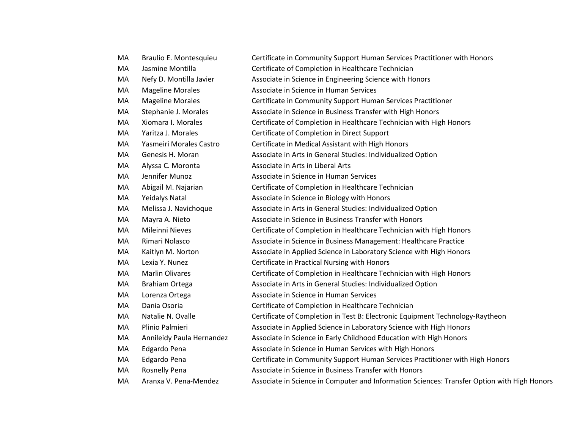| МA | Braulio E. Montesquieu    | Certificate in Community Support Human Services Practitioner with Honors                    |
|----|---------------------------|---------------------------------------------------------------------------------------------|
| MA | Jasmine Montilla          | Certificate of Completion in Healthcare Technician                                          |
| MA | Nefy D. Montilla Javier   | Associate in Science in Engineering Science with Honors                                     |
| MA | <b>Mageline Morales</b>   | Associate in Science in Human Services                                                      |
| MA | <b>Mageline Morales</b>   | Certificate in Community Support Human Services Practitioner                                |
| MA | Stephanie J. Morales      | Associate in Science in Business Transfer with High Honors                                  |
| MA | Xiomara I. Morales        | Certificate of Completion in Healthcare Technician with High Honors                         |
| MA | Yaritza J. Morales        | Certificate of Completion in Direct Support                                                 |
| MA | Yasmeiri Morales Castro   | Certificate in Medical Assistant with High Honors                                           |
| MA | Genesis H. Moran          | Associate in Arts in General Studies: Individualized Option                                 |
| MA | Alyssa C. Moronta         | Associate in Arts in Liberal Arts                                                           |
| MA | Jennifer Munoz            | Associate in Science in Human Services                                                      |
| MA | Abigail M. Najarian       | Certificate of Completion in Healthcare Technician                                          |
| MA | <b>Yeidalys Natal</b>     | Associate in Science in Biology with Honors                                                 |
| MA | Melissa J. Navichoque     | Associate in Arts in General Studies: Individualized Option                                 |
| МA | Mayra A. Nieto            | Associate in Science in Business Transfer with Honors                                       |
| MA | Mileinni Nieves           | Certificate of Completion in Healthcare Technician with High Honors                         |
| MA | Rimari Nolasco            | Associate in Science in Business Management: Healthcare Practice                            |
| MA | Kaitlyn M. Norton         | Associate in Applied Science in Laboratory Science with High Honors                         |
| МA | Lexia Y. Nunez            | Certificate in Practical Nursing with Honors                                                |
| MA | <b>Marlin Olivares</b>    | Certificate of Completion in Healthcare Technician with High Honors                         |
| MA | Brahiam Ortega            | Associate in Arts in General Studies: Individualized Option                                 |
| MA | Lorenza Ortega            | Associate in Science in Human Services                                                      |
| МA | Dania Osoria              | Certificate of Completion in Healthcare Technician                                          |
| MA | Natalie N. Ovalle         | Certificate of Completion in Test B: Electronic Equipment Technology-Raytheon               |
| МA | Plinio Palmieri           | Associate in Applied Science in Laboratory Science with High Honors                         |
| MA | Annileidy Paula Hernandez | Associate in Science in Early Childhood Education with High Honors                          |
| MA | Edgardo Pena              | Associate in Science in Human Services with High Honors                                     |
| MA | Edgardo Pena              | Certificate in Community Support Human Services Practitioner with High Honors               |
| МA | Rosnelly Pena             | Associate in Science in Business Transfer with Honors                                       |
| MA | Aranxa V. Pena-Mendez     | Associate in Science in Computer and Information Sciences: Transfer Option with High Honors |
|    |                           |                                                                                             |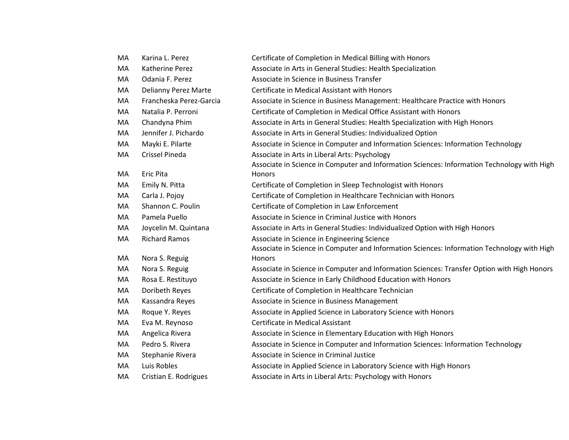| MA | Karina L. Perez         | Certificate of Completion in Medical Billing with Honors                                    |
|----|-------------------------|---------------------------------------------------------------------------------------------|
| MA | Katherine Perez         | Associate in Arts in General Studies: Health Specialization                                 |
| MA | Odania F. Perez         | Associate in Science in Business Transfer                                                   |
| MA | Delianny Perez Marte    | Certificate in Medical Assistant with Honors                                                |
| MA | Francheska Perez-Garcia | Associate in Science in Business Management: Healthcare Practice with Honors                |
| MA | Natalia P. Perroni      | Certificate of Completion in Medical Office Assistant with Honors                           |
| MA | Chandyna Phim           | Associate in Arts in General Studies: Health Specialization with High Honors                |
| MA | Jennifer J. Pichardo    | Associate in Arts in General Studies: Individualized Option                                 |
| MA | Mayki E. Pilarte        | Associate in Science in Computer and Information Sciences: Information Technology           |
| MA | Crissel Pineda          | Associate in Arts in Liberal Arts: Psychology                                               |
|    |                         | Associate in Science in Computer and Information Sciences: Information Technology with High |
| МA | <b>Eric Pita</b>        | <b>Honors</b>                                                                               |
| MA | Emily N. Pitta          | Certificate of Completion in Sleep Technologist with Honors                                 |
| MA | Carla J. Pojoy          | Certificate of Completion in Healthcare Technician with Honors                              |
| MA | Shannon C. Poulin       | Certificate of Completion in Law Enforcement                                                |
| MA | Pamela Puello           | Associate in Science in Criminal Justice with Honors                                        |
| MA | Joycelin M. Quintana    | Associate in Arts in General Studies: Individualized Option with High Honors                |
| MA | <b>Richard Ramos</b>    | Associate in Science in Engineering Science                                                 |
|    |                         | Associate in Science in Computer and Information Sciences: Information Technology with High |
| MA | Nora S. Reguig          | Honors                                                                                      |
| MA | Nora S. Reguig          | Associate in Science in Computer and Information Sciences: Transfer Option with High Honors |
| MA | Rosa E. Restituyo       | Associate in Science in Early Childhood Education with Honors                               |
| MA | Doribeth Reyes          | Certificate of Completion in Healthcare Technician                                          |
| MA | Kassandra Reyes         | Associate in Science in Business Management                                                 |
| MA | Roque Y. Reyes          | Associate in Applied Science in Laboratory Science with Honors                              |
| МA | Eva M. Reynoso          | Certificate in Medical Assistant                                                            |
| MA | Angelica Rivera         | Associate in Science in Elementary Education with High Honors                               |
| MA | Pedro S. Rivera         | Associate in Science in Computer and Information Sciences: Information Technology           |
| MA | Stephanie Rivera        | Associate in Science in Criminal Justice                                                    |
| MA | Luis Robles             | Associate in Applied Science in Laboratory Science with High Honors                         |
| MA | Cristian E. Rodrigues   | Associate in Arts in Liberal Arts: Psychology with Honors                                   |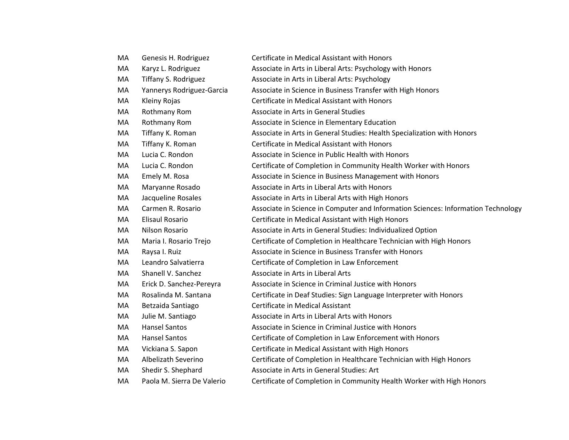| MA | Genesis H. Rodriguez       | Certificate in Medical Assistant with Honors                                      |
|----|----------------------------|-----------------------------------------------------------------------------------|
| MA | Karyz L. Rodriguez         | Associate in Arts in Liberal Arts: Psychology with Honors                         |
| MA | Tiffany S. Rodriguez       | Associate in Arts in Liberal Arts: Psychology                                     |
| MA | Yannerys Rodriguez-Garcia  | Associate in Science in Business Transfer with High Honors                        |
| MA | Kleiny Rojas               | Certificate in Medical Assistant with Honors                                      |
| MA | <b>Rothmany Rom</b>        | Associate in Arts in General Studies                                              |
| MA | Rothmany Rom               | Associate in Science in Elementary Education                                      |
| MA | Tiffany K. Roman           | Associate in Arts in General Studies: Health Specialization with Honors           |
| MA | Tiffany K. Roman           | Certificate in Medical Assistant with Honors                                      |
| MA | Lucia C. Rondon            | Associate in Science in Public Health with Honors                                 |
| MA | Lucia C. Rondon            | Certificate of Completion in Community Health Worker with Honors                  |
| MA | Emely M. Rosa              | Associate in Science in Business Management with Honors                           |
| MA | Maryanne Rosado            | Associate in Arts in Liberal Arts with Honors                                     |
| MA | Jacqueline Rosales         | Associate in Arts in Liberal Arts with High Honors                                |
| MA | Carmen R. Rosario          | Associate in Science in Computer and Information Sciences: Information Technology |
| MA | <b>Elisaul Rosario</b>     | Certificate in Medical Assistant with High Honors                                 |
| MA | Nilson Rosario             | Associate in Arts in General Studies: Individualized Option                       |
| MA | Maria I. Rosario Trejo     | Certificate of Completion in Healthcare Technician with High Honors               |
| MA | Raysa I. Ruiz              | Associate in Science in Business Transfer with Honors                             |
| MA | Leandro Salvatierra        | Certificate of Completion in Law Enforcement                                      |
| MA | Shanell V. Sanchez         | Associate in Arts in Liberal Arts                                                 |
| MA | Erick D. Sanchez-Pereyra   | Associate in Science in Criminal Justice with Honors                              |
| MA | Rosalinda M. Santana       | Certificate in Deaf Studies: Sign Language Interpreter with Honors                |
| MA | Betzaida Santiago          | Certificate in Medical Assistant                                                  |
| MA | Julie M. Santiago          | Associate in Arts in Liberal Arts with Honors                                     |
| MA | <b>Hansel Santos</b>       | Associate in Science in Criminal Justice with Honors                              |
| MA | <b>Hansel Santos</b>       | Certificate of Completion in Law Enforcement with Honors                          |
| MA | Vickiana S. Sapon          | Certificate in Medical Assistant with High Honors                                 |
| MA | Albelizath Severino        | Certificate of Completion in Healthcare Technician with High Honors               |
| MA | Shedir S. Shephard         | Associate in Arts in General Studies: Art                                         |
| MA | Paola M. Sierra De Valerio | Certificate of Completion in Community Health Worker with High Honors             |
|    |                            |                                                                                   |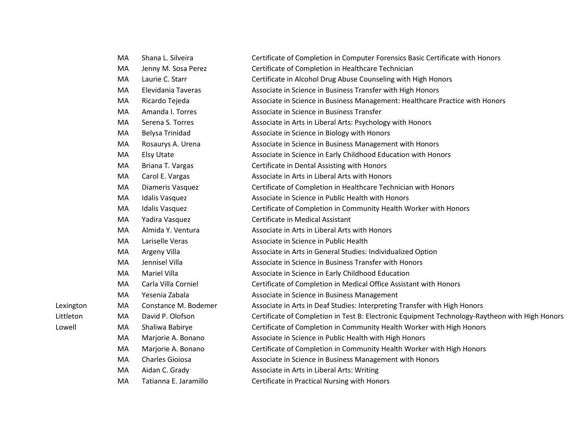|           | MA | Shana L. Silveira     | Certificate of Completion in Computer Forensics Basic Certificate with Honors                  |
|-----------|----|-----------------------|------------------------------------------------------------------------------------------------|
|           | MA | Jenny M. Sosa Perez   | Certificate of Completion in Healthcare Technician                                             |
|           | MA | Laurie C. Starr       | Certificate in Alcohol Drug Abuse Counseling with High Honors                                  |
|           | MA | Elevidania Taveras    | Associate in Science in Business Transfer with High Honors                                     |
|           | MA | Ricardo Tejeda        | Associate in Science in Business Management: Healthcare Practice with Honors                   |
|           | MA | Amanda I. Torres      | Associate in Science in Business Transfer                                                      |
|           | MA | Serena S. Torres      | Associate in Arts in Liberal Arts: Psychology with Honors                                      |
|           | MA | Belysa Trinidad       | Associate in Science in Biology with Honors                                                    |
|           | MA | Rosaurys A. Urena     | Associate in Science in Business Management with Honors                                        |
|           | MA | <b>Elsy Utate</b>     | Associate in Science in Early Childhood Education with Honors                                  |
|           | MA | Briana T. Vargas      | Certificate in Dental Assisting with Honors                                                    |
|           | MA | Carol E. Vargas       | Associate in Arts in Liberal Arts with Honors                                                  |
|           | MA | Diameris Vasquez      | Certificate of Completion in Healthcare Technician with Honors                                 |
|           | MA | <b>Idalis Vasquez</b> | Associate in Science in Public Health with Honors                                              |
|           | MA | <b>Idalis Vasquez</b> | Certificate of Completion in Community Health Worker with Honors                               |
|           | MA | Yadira Vasquez        | Certificate in Medical Assistant                                                               |
|           | MA | Almida Y. Ventura     | Associate in Arts in Liberal Arts with Honors                                                  |
|           | MA | Lariselle Veras       | Associate in Science in Public Health                                                          |
|           | MA | Argeny Villa          | Associate in Arts in General Studies: Individualized Option                                    |
|           | MA | Jennisel Villa        | Associate in Science in Business Transfer with Honors                                          |
|           | MA | <b>Mariel Villa</b>   | Associate in Science in Early Childhood Education                                              |
|           | MA | Carla Villa Corniel   | Certificate of Completion in Medical Office Assistant with Honors                              |
|           | MA | Yesenia Zabala        | Associate in Science in Business Management                                                    |
| Lexington | MA | Constance M. Bodemer  | Associate in Arts in Deaf Studies: Interpreting Transfer with High Honors                      |
| Littleton | MA | David P. Olofson      | Certificate of Completion in Test B: Electronic Equipment Technology-Raytheon with High Honors |
| Lowell    | MA | Shaliwa Babirye       | Certificate of Completion in Community Health Worker with High Honors                          |
|           | MA | Marjorie A. Bonano    | Associate in Science in Public Health with High Honors                                         |
|           | MA | Marjorie A. Bonano    | Certificate of Completion in Community Health Worker with High Honors                          |
|           | MA | Charles Gioiosa       | Associate in Science in Business Management with Honors                                        |
|           | MA | Aidan C. Grady        | Associate in Arts in Liberal Arts: Writing                                                     |
|           | MA | Tatianna E. Jaramillo | Certificate in Practical Nursing with Honors                                                   |
|           |    |                       |                                                                                                |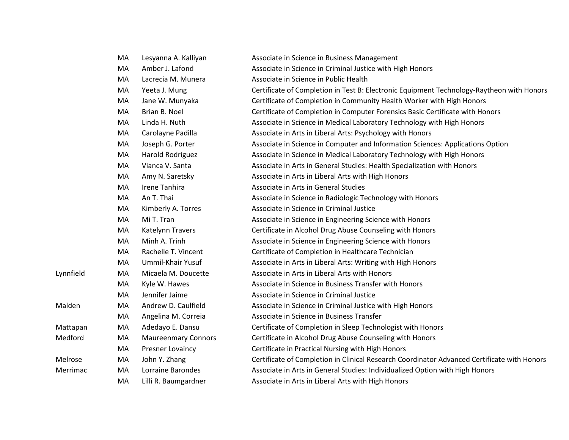|           | МA | Lesyanna A. Kalliyan       | Associate in Science in Business Management                                                 |
|-----------|----|----------------------------|---------------------------------------------------------------------------------------------|
|           | MA | Amber J. Lafond            | Associate in Science in Criminal Justice with High Honors                                   |
|           | MA | Lacrecia M. Munera         | Associate in Science in Public Health                                                       |
|           | MA | Yeeta J. Mung              | Certificate of Completion in Test B: Electronic Equipment Technology-Raytheon with Honors   |
|           | MA | Jane W. Munyaka            | Certificate of Completion in Community Health Worker with High Honors                       |
|           | MA | Brian B. Noel              | Certificate of Completion in Computer Forensics Basic Certificate with Honors               |
|           | MA | Linda H. Nuth              | Associate in Science in Medical Laboratory Technology with High Honors                      |
|           | MA | Carolayne Padilla          | Associate in Arts in Liberal Arts: Psychology with Honors                                   |
|           | MA | Joseph G. Porter           | Associate in Science in Computer and Information Sciences: Applications Option              |
|           | MA | Harold Rodriguez           | Associate in Science in Medical Laboratory Technology with High Honors                      |
|           | MA | Vianca V. Santa            | Associate in Arts in General Studies: Health Specialization with Honors                     |
|           | MA | Amy N. Saretsky            | Associate in Arts in Liberal Arts with High Honors                                          |
|           | MA | Irene Tanhira              | Associate in Arts in General Studies                                                        |
|           | MA | An T. Thai                 | Associate in Science in Radiologic Technology with Honors                                   |
|           | MA | Kimberly A. Torres         | Associate in Science in Criminal Justice                                                    |
|           | MA | Mi T. Tran                 | Associate in Science in Engineering Science with Honors                                     |
|           | MA | Katelynn Travers           | Certificate in Alcohol Drug Abuse Counseling with Honors                                    |
|           | MA | Minh A. Trinh              | Associate in Science in Engineering Science with Honors                                     |
|           | MA | Rachelle T. Vincent        | Certificate of Completion in Healthcare Technician                                          |
|           | MA | Ummil-Khair Yusuf          | Associate in Arts in Liberal Arts: Writing with High Honors                                 |
| Lynnfield | MA | Micaela M. Doucette        | Associate in Arts in Liberal Arts with Honors                                               |
|           | MA | Kyle W. Hawes              | Associate in Science in Business Transfer with Honors                                       |
|           | MA | Jennifer Jaime             | Associate in Science in Criminal Justice                                                    |
| Malden    | МA | Andrew D. Caulfield        | Associate in Science in Criminal Justice with High Honors                                   |
|           | MA | Angelina M. Correia        | Associate in Science in Business Transfer                                                   |
| Mattapan  | MA | Adedayo E. Dansu           | Certificate of Completion in Sleep Technologist with Honors                                 |
| Medford   | MA | <b>Maureenmary Connors</b> | Certificate in Alcohol Drug Abuse Counseling with Honors                                    |
|           | MA | Presner Lovaincy           | Certificate in Practical Nursing with High Honors                                           |
| Melrose   | MA | John Y. Zhang              | Certificate of Completion in Clinical Research Coordinator Advanced Certificate with Honors |
| Merrimac  | MA | Lorraine Barondes          | Associate in Arts in General Studies: Individualized Option with High Honors                |
|           | MA | Lilli R. Baumgardner       | Associate in Arts in Liberal Arts with High Honors                                          |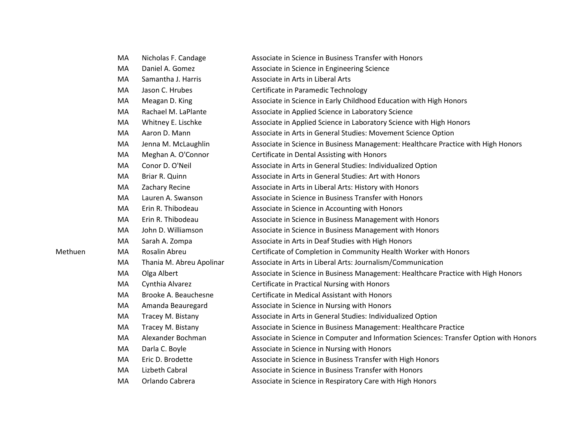|         | MA | Nicholas F. Candage      | Associate in Science in Business Transfer with Honors                                  |
|---------|----|--------------------------|----------------------------------------------------------------------------------------|
|         | MA | Daniel A. Gomez          | Associate in Science in Engineering Science                                            |
|         | MA | Samantha J. Harris       | Associate in Arts in Liberal Arts                                                      |
|         | MA | Jason C. Hrubes          | Certificate in Paramedic Technology                                                    |
|         | MA | Meagan D. King           | Associate in Science in Early Childhood Education with High Honors                     |
|         | MA | Rachael M. LaPlante      | Associate in Applied Science in Laboratory Science                                     |
|         | MA | Whitney E. Lischke       | Associate in Applied Science in Laboratory Science with High Honors                    |
|         | MA | Aaron D. Mann            | Associate in Arts in General Studies: Movement Science Option                          |
|         | MA | Jenna M. McLaughlin      | Associate in Science in Business Management: Healthcare Practice with High Honors      |
|         | MA | Meghan A. O'Connor       | Certificate in Dental Assisting with Honors                                            |
|         | MA | Conor D. O'Neil          | Associate in Arts in General Studies: Individualized Option                            |
|         | MA | Briar R. Quinn           | Associate in Arts in General Studies: Art with Honors                                  |
|         | MA | Zachary Recine           | Associate in Arts in Liberal Arts: History with Honors                                 |
|         | MA | Lauren A. Swanson        | Associate in Science in Business Transfer with Honors                                  |
|         | MA | Erin R. Thibodeau        | Associate in Science in Accounting with Honors                                         |
|         | MA | Erin R. Thibodeau        | Associate in Science in Business Management with Honors                                |
|         | MA | John D. Williamson       | Associate in Science in Business Management with Honors                                |
|         | MA | Sarah A. Zompa           | Associate in Arts in Deaf Studies with High Honors                                     |
| Methuen | MA | Rosalin Abreu            | Certificate of Completion in Community Health Worker with Honors                       |
|         | MA | Thania M. Abreu Apolinar | Associate in Arts in Liberal Arts: Journalism/Communication                            |
|         | MA | Olga Albert              | Associate in Science in Business Management: Healthcare Practice with High Honors      |
|         | MA | Cynthia Alvarez          | Certificate in Practical Nursing with Honors                                           |
|         | MA | Brooke A. Beauchesne     | Certificate in Medical Assistant with Honors                                           |
|         | MA | Amanda Beauregard        | Associate in Science in Nursing with Honors                                            |
|         | MA | Tracey M. Bistany        | Associate in Arts in General Studies: Individualized Option                            |
|         | MA | Tracey M. Bistany        | Associate in Science in Business Management: Healthcare Practice                       |
|         | MA | Alexander Bochman        | Associate in Science in Computer and Information Sciences: Transfer Option with Honors |
|         | MA | Darla C. Boyle           | Associate in Science in Nursing with Honors                                            |
|         | MA | Eric D. Brodette         | Associate in Science in Business Transfer with High Honors                             |
|         | MA | Lizbeth Cabral           | Associate in Science in Business Transfer with Honors                                  |
|         | MA | Orlando Cabrera          | Associate in Science in Respiratory Care with High Honors                              |
|         |    |                          |                                                                                        |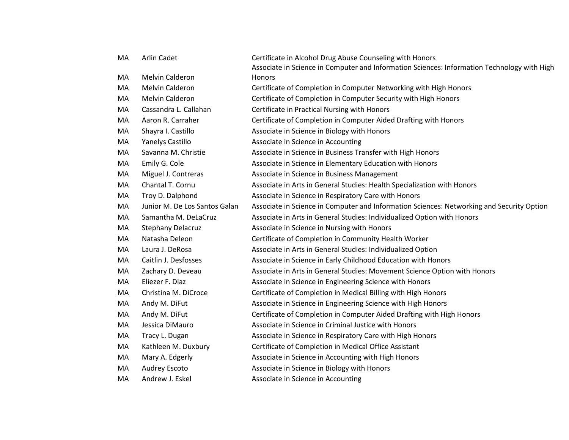| MA | Arlin Cadet                   | Certificate in Alcohol Drug Abuse Counseling with Honors                                    |
|----|-------------------------------|---------------------------------------------------------------------------------------------|
|    |                               | Associate in Science in Computer and Information Sciences: Information Technology with High |
| MA | Melvin Calderon               | <b>Honors</b>                                                                               |
| MA | Melvin Calderon               | Certificate of Completion in Computer Networking with High Honors                           |
| MA | Melvin Calderon               | Certificate of Completion in Computer Security with High Honors                             |
| MA | Cassandra L. Callahan         | Certificate in Practical Nursing with Honors                                                |
| MA | Aaron R. Carraher             | Certificate of Completion in Computer Aided Drafting with Honors                            |
| MA | Shayra I. Castillo            | Associate in Science in Biology with Honors                                                 |
| MA | Yanelys Castillo              | Associate in Science in Accounting                                                          |
| MA | Savanna M. Christie           | Associate in Science in Business Transfer with High Honors                                  |
| MA | Emily G. Cole                 | Associate in Science in Elementary Education with Honors                                    |
| MA | Miguel J. Contreras           | Associate in Science in Business Management                                                 |
| MA | Chantal T. Cornu              | Associate in Arts in General Studies: Health Specialization with Honors                     |
| MA | Troy D. Dalphond              | Associate in Science in Respiratory Care with Honors                                        |
| MA | Junior M. De Los Santos Galan | Associate in Science in Computer and Information Sciences: Networking and Security Option   |
| MA | Samantha M. DeLaCruz          | Associate in Arts in General Studies: Individualized Option with Honors                     |
| MA | <b>Stephany Delacruz</b>      | Associate in Science in Nursing with Honors                                                 |
| MA | Natasha Deleon                | Certificate of Completion in Community Health Worker                                        |
| MA | Laura J. DeRosa               | Associate in Arts in General Studies: Individualized Option                                 |
| MA | Caitlin J. Desfosses          | Associate in Science in Early Childhood Education with Honors                               |
| MA | Zachary D. Deveau             | Associate in Arts in General Studies: Movement Science Option with Honors                   |
| MA | Eliezer F. Diaz               | Associate in Science in Engineering Science with Honors                                     |
| MA | Christina M. DiCroce          | Certificate of Completion in Medical Billing with High Honors                               |
| MA | Andy M. DiFut                 | Associate in Science in Engineering Science with High Honors                                |
| MA | Andy M. DiFut                 | Certificate of Completion in Computer Aided Drafting with High Honors                       |
| MA | Jessica DiMauro               | Associate in Science in Criminal Justice with Honors                                        |
| MA | Tracy L. Dugan                | Associate in Science in Respiratory Care with High Honors                                   |
| MA | Kathleen M. Duxbury           | Certificate of Completion in Medical Office Assistant                                       |
| MA | Mary A. Edgerly               | Associate in Science in Accounting with High Honors                                         |
| MA | Audrey Escoto                 | Associate in Science in Biology with Honors                                                 |
| MA | Andrew J. Eskel               | Associate in Science in Accounting                                                          |
|    |                               |                                                                                             |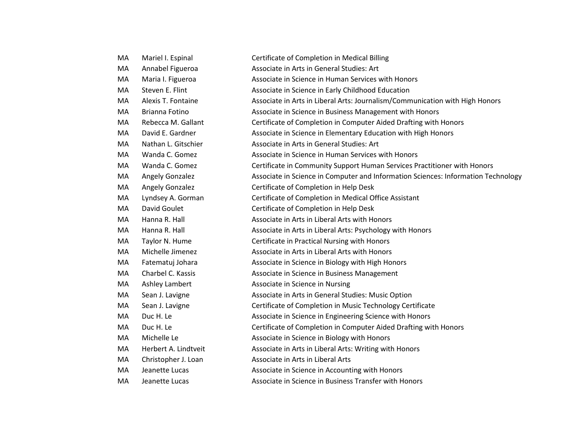| MA | Mariel I. Espinal      | Certificate of Completion in Medical Billing                                      |
|----|------------------------|-----------------------------------------------------------------------------------|
| MA | Annabel Figueroa       | Associate in Arts in General Studies: Art                                         |
| MA | Maria I. Figueroa      | Associate in Science in Human Services with Honors                                |
| MA | Steven E. Flint        | Associate in Science in Early Childhood Education                                 |
| MA | Alexis T. Fontaine     | Associate in Arts in Liberal Arts: Journalism/Communication with High Honors      |
| MA | Brianna Fotino         | Associate in Science in Business Management with Honors                           |
| MA | Rebecca M. Gallant     | Certificate of Completion in Computer Aided Drafting with Honors                  |
| MA | David E. Gardner       | Associate in Science in Elementary Education with High Honors                     |
| MA | Nathan L. Gitschier    | Associate in Arts in General Studies: Art                                         |
| MA | Wanda C. Gomez         | Associate in Science in Human Services with Honors                                |
| MA | Wanda C. Gomez         | Certificate in Community Support Human Services Practitioner with Honors          |
| MA | Angely Gonzalez        | Associate in Science in Computer and Information Sciences: Information Technology |
| MA | <b>Angely Gonzalez</b> | Certificate of Completion in Help Desk                                            |
| MA | Lyndsey A. Gorman      | Certificate of Completion in Medical Office Assistant                             |
| MA | David Goulet           | Certificate of Completion in Help Desk                                            |
| MA | Hanna R. Hall          | Associate in Arts in Liberal Arts with Honors                                     |
| MA | Hanna R. Hall          | Associate in Arts in Liberal Arts: Psychology with Honors                         |
| MA | Taylor N. Hume         | Certificate in Practical Nursing with Honors                                      |
| MA | Michelle Jimenez       | Associate in Arts in Liberal Arts with Honors                                     |
| MA | Fatematuj Johara       | Associate in Science in Biology with High Honors                                  |
| MA | Charbel C. Kassis      | Associate in Science in Business Management                                       |
| MA | Ashley Lambert         | Associate in Science in Nursing                                                   |
| MA | Sean J. Lavigne        | Associate in Arts in General Studies: Music Option                                |
| MA | Sean J. Lavigne        | Certificate of Completion in Music Technology Certificate                         |
| MA | Duc H. Le              | Associate in Science in Engineering Science with Honors                           |
| MA | Duc H. Le              | Certificate of Completion in Computer Aided Drafting with Honors                  |
| MA | Michelle Le            | Associate in Science in Biology with Honors                                       |
| MA | Herbert A. Lindtveit   | Associate in Arts in Liberal Arts: Writing with Honors                            |
| MA | Christopher J. Loan    | Associate in Arts in Liberal Arts                                                 |
| MA | Jeanette Lucas         | Associate in Science in Accounting with Honors                                    |
| MA | Jeanette Lucas         | Associate in Science in Business Transfer with Honors                             |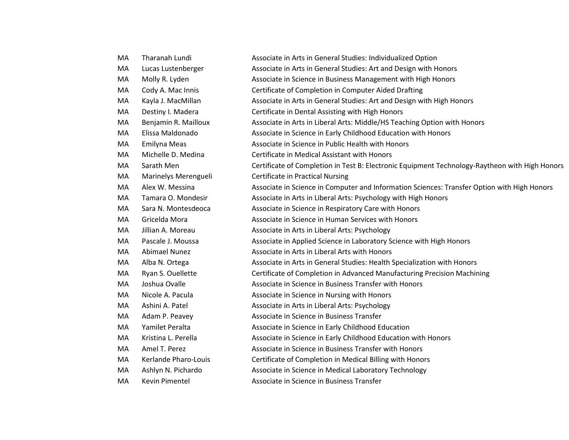| MA | Tharanah Lundi       | Associate in Arts in General Studies: Individualized Option                                    |
|----|----------------------|------------------------------------------------------------------------------------------------|
| MA | Lucas Lustenberger   | Associate in Arts in General Studies: Art and Design with Honors                               |
| MA | Molly R. Lyden       | Associate in Science in Business Management with High Honors                                   |
| MA | Cody A. Mac Innis    | Certificate of Completion in Computer Aided Drafting                                           |
| MA | Kayla J. MacMillan   | Associate in Arts in General Studies: Art and Design with High Honors                          |
| MA | Destiny I. Madera    | Certificate in Dental Assisting with High Honors                                               |
| MA | Benjamin R. Mailloux | Associate in Arts in Liberal Arts: Middle/HS Teaching Option with Honors                       |
| MA | Elissa Maldonado     | Associate in Science in Early Childhood Education with Honors                                  |
| MA | Emilyna Meas         | Associate in Science in Public Health with Honors                                              |
| MA | Michelle D. Medina   | Certificate in Medical Assistant with Honors                                                   |
| МA | Sarath Men           | Certificate of Completion in Test B: Electronic Equipment Technology-Raytheon with High Honors |
| MA | Marinelys Merengueli | <b>Certificate in Practical Nursing</b>                                                        |
| MA | Alex W. Messina      | Associate in Science in Computer and Information Sciences: Transfer Option with High Honors    |
| MA | Tamara O. Mondesir   | Associate in Arts in Liberal Arts: Psychology with High Honors                                 |
| MA | Sara N. Montesdeoca  | Associate in Science in Respiratory Care with Honors                                           |
| MA | Gricelda Mora        | Associate in Science in Human Services with Honors                                             |
| MA | Jillian A. Moreau    | Associate in Arts in Liberal Arts: Psychology                                                  |
| MA | Pascale J. Moussa    | Associate in Applied Science in Laboratory Science with High Honors                            |
| MA | <b>Abimael Nunez</b> | Associate in Arts in Liberal Arts with Honors                                                  |
| MA | Alba N. Ortega       | Associate in Arts in General Studies: Health Specialization with Honors                        |
| MA | Ryan S. Ouellette    | Certificate of Completion in Advanced Manufacturing Precision Machining                        |
| MA | Joshua Ovalle        | Associate in Science in Business Transfer with Honors                                          |
| MA | Nicole A. Pacula     | Associate in Science in Nursing with Honors                                                    |
| MA | Ashini A. Patel      | Associate in Arts in Liberal Arts: Psychology                                                  |
| MA | Adam P. Peavey       | Associate in Science in Business Transfer                                                      |
| MA | Yamilet Peralta      | Associate in Science in Early Childhood Education                                              |
| MA | Kristina L. Perella  | Associate in Science in Early Childhood Education with Honors                                  |
| МA | Amel T. Perez        | Associate in Science in Business Transfer with Honors                                          |
| MA | Kerlande Pharo-Louis | Certificate of Completion in Medical Billing with Honors                                       |
| MA | Ashlyn N. Pichardo   | Associate in Science in Medical Laboratory Technology                                          |
| MA | Kevin Pimentel       | Associate in Science in Business Transfer                                                      |
|    |                      |                                                                                                |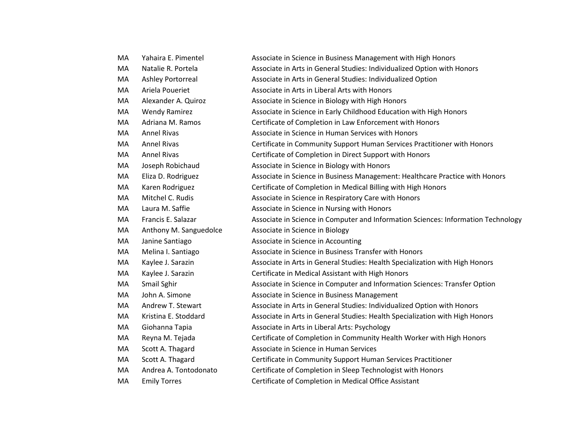| MA | Yahaira E. Pimentel    | Associate in Science in Business Management with High Honors                      |
|----|------------------------|-----------------------------------------------------------------------------------|
| MA | Natalie R. Portela     | Associate in Arts in General Studies: Individualized Option with Honors           |
| MA | Ashley Portorreal      | Associate in Arts in General Studies: Individualized Option                       |
| MA | Ariela Poueriet        | Associate in Arts in Liberal Arts with Honors                                     |
| MA | Alexander A. Quiroz    | Associate in Science in Biology with High Honors                                  |
| MA | <b>Wendy Ramirez</b>   | Associate in Science in Early Childhood Education with High Honors                |
| MA | Adriana M. Ramos       | Certificate of Completion in Law Enforcement with Honors                          |
| MA | <b>Annel Rivas</b>     | Associate in Science in Human Services with Honors                                |
| MA | <b>Annel Rivas</b>     | Certificate in Community Support Human Services Practitioner with Honors          |
| MA | <b>Annel Rivas</b>     | Certificate of Completion in Direct Support with Honors                           |
| MA | Joseph Robichaud       | Associate in Science in Biology with Honors                                       |
| MA | Eliza D. Rodriguez     | Associate in Science in Business Management: Healthcare Practice with Honors      |
| MA | Karen Rodriguez        | Certificate of Completion in Medical Billing with High Honors                     |
| MA | Mitchel C. Rudis       | Associate in Science in Respiratory Care with Honors                              |
| MA | Laura M. Saffie        | Associate in Science in Nursing with Honors                                       |
| MA | Francis E. Salazar     | Associate in Science in Computer and Information Sciences: Information Technology |
| MA | Anthony M. Sanguedolce | Associate in Science in Biology                                                   |
| MA | Janine Santiago        | Associate in Science in Accounting                                                |
| MA | Melina I. Santiago     | Associate in Science in Business Transfer with Honors                             |
| MA | Kaylee J. Sarazin      | Associate in Arts in General Studies: Health Specialization with High Honors      |
| MA | Kaylee J. Sarazin      | Certificate in Medical Assistant with High Honors                                 |
| MA | Smail Sghir            | Associate in Science in Computer and Information Sciences: Transfer Option        |
| MA | John A. Simone         | Associate in Science in Business Management                                       |
| MA | Andrew T. Stewart      | Associate in Arts in General Studies: Individualized Option with Honors           |
| MA | Kristina E. Stoddard   | Associate in Arts in General Studies: Health Specialization with High Honors      |
| MA | Giohanna Tapia         | Associate in Arts in Liberal Arts: Psychology                                     |
| MA | Reyna M. Tejada        | Certificate of Completion in Community Health Worker with High Honors             |
| MA | Scott A. Thagard       | Associate in Science in Human Services                                            |
| MA | Scott A. Thagard       | Certificate in Community Support Human Services Practitioner                      |
| MA | Andrea A. Tontodonato  | Certificate of Completion in Sleep Technologist with Honors                       |
| MA | <b>Emily Torres</b>    | Certificate of Completion in Medical Office Assistant                             |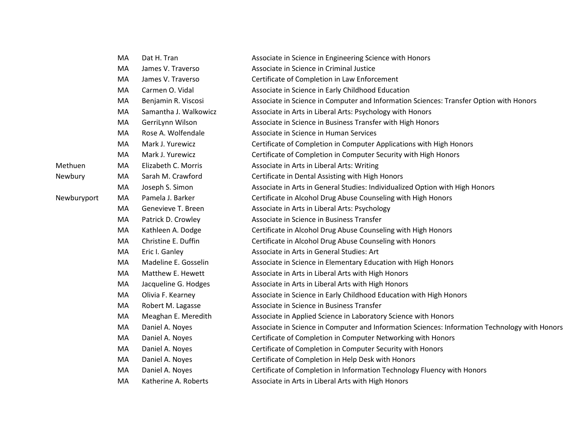|             | MA | Dat H. Tran           | Associate in Science in Engineering Science with Honors                                       |
|-------------|----|-----------------------|-----------------------------------------------------------------------------------------------|
|             | MA | James V. Traverso     | Associate in Science in Criminal Justice                                                      |
|             | MA | James V. Traverso     | Certificate of Completion in Law Enforcement                                                  |
|             | MA | Carmen O. Vidal       | Associate in Science in Early Childhood Education                                             |
|             | MA | Benjamin R. Viscosi   | Associate in Science in Computer and Information Sciences: Transfer Option with Honors        |
|             | MA | Samantha J. Walkowicz | Associate in Arts in Liberal Arts: Psychology with Honors                                     |
|             | MA | GerriLynn Wilson      | Associate in Science in Business Transfer with High Honors                                    |
|             | MA | Rose A. Wolfendale    | Associate in Science in Human Services                                                        |
|             | MA | Mark J. Yurewicz      | Certificate of Completion in Computer Applications with High Honors                           |
|             | MA | Mark J. Yurewicz      | Certificate of Completion in Computer Security with High Honors                               |
| Methuen     | MA | Elizabeth C. Morris   | Associate in Arts in Liberal Arts: Writing                                                    |
| Newbury     | MA | Sarah M. Crawford     | Certificate in Dental Assisting with High Honors                                              |
|             | MA | Joseph S. Simon       | Associate in Arts in General Studies: Individualized Option with High Honors                  |
| Newburyport | MA | Pamela J. Barker      | Certificate in Alcohol Drug Abuse Counseling with High Honors                                 |
|             | MA | Genevieve T. Breen    | Associate in Arts in Liberal Arts: Psychology                                                 |
|             | MA | Patrick D. Crowley    | Associate in Science in Business Transfer                                                     |
|             | MA | Kathleen A. Dodge     | Certificate in Alcohol Drug Abuse Counseling with High Honors                                 |
|             | MA | Christine E. Duffin   | Certificate in Alcohol Drug Abuse Counseling with Honors                                      |
|             | MA | Eric I. Ganley        | Associate in Arts in General Studies: Art                                                     |
|             | MA | Madeline E. Gosselin  | Associate in Science in Elementary Education with High Honors                                 |
|             | MA | Matthew E. Hewett     | Associate in Arts in Liberal Arts with High Honors                                            |
|             | MA | Jacqueline G. Hodges  | Associate in Arts in Liberal Arts with High Honors                                            |
|             | MA | Olivia F. Kearney     | Associate in Science in Early Childhood Education with High Honors                            |
|             | MA | Robert M. Lagasse     | Associate in Science in Business Transfer                                                     |
|             | MA | Meaghan E. Meredith   | Associate in Applied Science in Laboratory Science with Honors                                |
|             | MA | Daniel A. Noyes       | Associate in Science in Computer and Information Sciences: Information Technology with Honors |
|             | MA | Daniel A. Noyes       | Certificate of Completion in Computer Networking with Honors                                  |
|             | MA | Daniel A. Noyes       | Certificate of Completion in Computer Security with Honors                                    |
|             | MA | Daniel A. Noyes       | Certificate of Completion in Help Desk with Honors                                            |
|             | MA | Daniel A. Noyes       | Certificate of Completion in Information Technology Fluency with Honors                       |
|             | MA | Katherine A. Roberts  | Associate in Arts in Liberal Arts with High Honors                                            |
|             |    |                       |                                                                                               |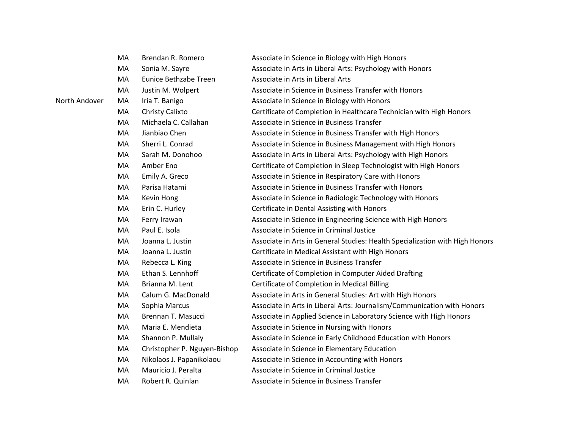|               | MA | Brendan R. Romero            | Associate in Science in Biology with High Honors                             |
|---------------|----|------------------------------|------------------------------------------------------------------------------|
|               | MA | Sonia M. Sayre               | Associate in Arts in Liberal Arts: Psychology with Honors                    |
|               | MA | Eunice Bethzabe Treen        | Associate in Arts in Liberal Arts                                            |
|               | MA | Justin M. Wolpert            | Associate in Science in Business Transfer with Honors                        |
| North Andover | MA | Iria T. Banigo               | Associate in Science in Biology with Honors                                  |
|               | MA | Christy Calixto              | Certificate of Completion in Healthcare Technician with High Honors          |
|               | MA | Michaela C. Callahan         | Associate in Science in Business Transfer                                    |
|               | MA | Jianbiao Chen                | Associate in Science in Business Transfer with High Honors                   |
|               | MA | Sherri L. Conrad             | Associate in Science in Business Management with High Honors                 |
|               | MA | Sarah M. Donohoo             | Associate in Arts in Liberal Arts: Psychology with High Honors               |
|               | MA | Amber Eno                    | Certificate of Completion in Sleep Technologist with High Honors             |
|               | MA | Emily A. Greco               | Associate in Science in Respiratory Care with Honors                         |
|               | MA | Parisa Hatami                | Associate in Science in Business Transfer with Honors                        |
|               | MA | Kevin Hong                   | Associate in Science in Radiologic Technology with Honors                    |
|               | MA | Erin C. Hurley               | Certificate in Dental Assisting with Honors                                  |
|               | MA | Ferry Irawan                 | Associate in Science in Engineering Science with High Honors                 |
|               | MA | Paul E. Isola                | Associate in Science in Criminal Justice                                     |
|               | MA | Joanna L. Justin             | Associate in Arts in General Studies: Health Specialization with High Honors |
|               | MA | Joanna L. Justin             | Certificate in Medical Assistant with High Honors                            |
|               | MA | Rebecca L. King              | Associate in Science in Business Transfer                                    |
|               | MA | Ethan S. Lennhoff            | Certificate of Completion in Computer Aided Drafting                         |
|               | MA | Brianna M. Lent              | Certificate of Completion in Medical Billing                                 |
|               | MA | Calum G. MacDonald           | Associate in Arts in General Studies: Art with High Honors                   |
|               | MA | Sophia Marcus                | Associate in Arts in Liberal Arts: Journalism/Communication with Honors      |
|               | MA | Brennan T. Masucci           | Associate in Applied Science in Laboratory Science with High Honors          |
|               | MA | Maria E. Mendieta            | Associate in Science in Nursing with Honors                                  |
|               | MA | Shannon P. Mullaly           | Associate in Science in Early Childhood Education with Honors                |
|               | MA | Christopher P. Nguyen-Bishop | Associate in Science in Elementary Education                                 |
|               | MA | Nikolaos J. Papanikolaou     | Associate in Science in Accounting with Honors                               |
|               | MA | Mauricio J. Peralta          | Associate in Science in Criminal Justice                                     |
|               | MA | Robert R. Quinlan            | Associate in Science in Business Transfer                                    |
|               |    |                              |                                                                              |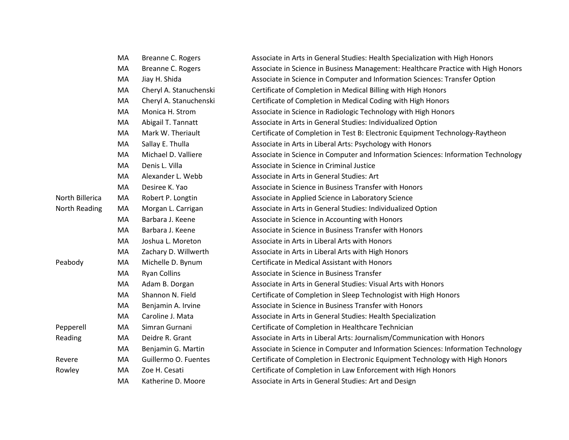|                 | MA | Breanne C. Rogers      | Associate in Arts in General Studies: Health Specialization with High Honors      |
|-----------------|----|------------------------|-----------------------------------------------------------------------------------|
|                 | MA | Breanne C. Rogers      | Associate in Science in Business Management: Healthcare Practice with High Honors |
|                 | MA | Jiay H. Shida          | Associate in Science in Computer and Information Sciences: Transfer Option        |
|                 | MA | Cheryl A. Stanuchenski | Certificate of Completion in Medical Billing with High Honors                     |
|                 | MA | Cheryl A. Stanuchenski | Certificate of Completion in Medical Coding with High Honors                      |
|                 | MA | Monica H. Strom        | Associate in Science in Radiologic Technology with High Honors                    |
|                 | MA | Abigail T. Tannatt     | Associate in Arts in General Studies: Individualized Option                       |
|                 | MA | Mark W. Theriault      | Certificate of Completion in Test B: Electronic Equipment Technology-Raytheon     |
|                 | MA | Sallay E. Thulla       | Associate in Arts in Liberal Arts: Psychology with Honors                         |
|                 | MA | Michael D. Valliere    | Associate in Science in Computer and Information Sciences: Information Technology |
|                 | MA | Denis L. Villa         | Associate in Science in Criminal Justice                                          |
|                 | MA | Alexander L. Webb      | Associate in Arts in General Studies: Art                                         |
|                 | MA | Desiree K. Yao         | Associate in Science in Business Transfer with Honors                             |
| North Billerica | MA | Robert P. Longtin      | Associate in Applied Science in Laboratory Science                                |
| North Reading   | MA | Morgan L. Carrigan     | Associate in Arts in General Studies: Individualized Option                       |
|                 | MA | Barbara J. Keene       | Associate in Science in Accounting with Honors                                    |
|                 | MA | Barbara J. Keene       | Associate in Science in Business Transfer with Honors                             |
|                 | MA | Joshua L. Moreton      | Associate in Arts in Liberal Arts with Honors                                     |
|                 | MA | Zachary D. Willwerth   | Associate in Arts in Liberal Arts with High Honors                                |
| Peabody         | MA | Michelle D. Bynum      | Certificate in Medical Assistant with Honors                                      |
|                 | MA | <b>Ryan Collins</b>    | Associate in Science in Business Transfer                                         |
|                 | MA | Adam B. Dorgan         | Associate in Arts in General Studies: Visual Arts with Honors                     |
|                 | MA | Shannon N. Field       | Certificate of Completion in Sleep Technologist with High Honors                  |
|                 | MA | Benjamin A. Irvine     | Associate in Science in Business Transfer with Honors                             |
|                 | MA | Caroline J. Mata       | Associate in Arts in General Studies: Health Specialization                       |
| Pepperell       | MA | Simran Gurnani         | Certificate of Completion in Healthcare Technician                                |
| Reading         | MA | Deidre R. Grant        | Associate in Arts in Liberal Arts: Journalism/Communication with Honors           |
|                 | MA | Benjamin G. Martin     | Associate in Science in Computer and Information Sciences: Information Technology |
| Revere          | MA | Guillermo O. Fuentes   | Certificate of Completion in Electronic Equipment Technology with High Honors     |
| Rowley          | МA | Zoe H. Cesati          | Certificate of Completion in Law Enforcement with High Honors                     |
|                 | MA | Katherine D. Moore     | Associate in Arts in General Studies: Art and Design                              |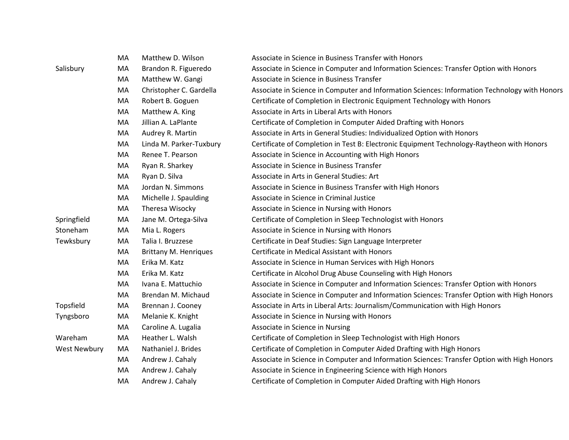|                     | MA | Matthew D. Wilson            | Associate in Science in Business Transfer with Honors                                         |
|---------------------|----|------------------------------|-----------------------------------------------------------------------------------------------|
| Salisbury           | MA | Brandon R. Figueredo         | Associate in Science in Computer and Information Sciences: Transfer Option with Honors        |
|                     | MA | Matthew W. Gangi             | Associate in Science in Business Transfer                                                     |
|                     | MA | Christopher C. Gardella      | Associate in Science in Computer and Information Sciences: Information Technology with Honors |
|                     | MA | Robert B. Goguen             | Certificate of Completion in Electronic Equipment Technology with Honors                      |
|                     | MA | Matthew A. King              | Associate in Arts in Liberal Arts with Honors                                                 |
|                     | MA | Jillian A. LaPlante          | Certificate of Completion in Computer Aided Drafting with Honors                              |
|                     | MA | Audrey R. Martin             | Associate in Arts in General Studies: Individualized Option with Honors                       |
|                     | MA | Linda M. Parker-Tuxbury      | Certificate of Completion in Test B: Electronic Equipment Technology-Raytheon with Honors     |
|                     | MA | Renee T. Pearson             | Associate in Science in Accounting with High Honors                                           |
|                     | MA | Ryan R. Sharkey              | Associate in Science in Business Transfer                                                     |
|                     | MA | Ryan D. Silva                | Associate in Arts in General Studies: Art                                                     |
|                     | MA | Jordan N. Simmons            | Associate in Science in Business Transfer with High Honors                                    |
|                     | MA | Michelle J. Spaulding        | Associate in Science in Criminal Justice                                                      |
|                     | MA | Theresa Wisocky              | Associate in Science in Nursing with Honors                                                   |
| Springfield         | MA | Jane M. Ortega-Silva         | Certificate of Completion in Sleep Technologist with Honors                                   |
| Stoneham            | MA | Mia L. Rogers                | Associate in Science in Nursing with Honors                                                   |
| Tewksbury           | MA | Talia I. Bruzzese            | Certificate in Deaf Studies: Sign Language Interpreter                                        |
|                     | MA | <b>Brittany M. Henriques</b> | Certificate in Medical Assistant with Honors                                                  |
|                     | MA | Erika M. Katz                | Associate in Science in Human Services with High Honors                                       |
|                     | MA | Erika M. Katz                | Certificate in Alcohol Drug Abuse Counseling with High Honors                                 |
|                     | MA | Ivana E. Mattuchio           | Associate in Science in Computer and Information Sciences: Transfer Option with Honors        |
|                     | MA | Brendan M. Michaud           | Associate in Science in Computer and Information Sciences: Transfer Option with High Honors   |
| Topsfield           | MA | Brennan J. Cooney            | Associate in Arts in Liberal Arts: Journalism/Communication with High Honors                  |
| Tyngsboro           | MA | Melanie K. Knight            | Associate in Science in Nursing with Honors                                                   |
|                     | MA | Caroline A. Lugalia          | Associate in Science in Nursing                                                               |
| Wareham             | MA | Heather L. Walsh             | Certificate of Completion in Sleep Technologist with High Honors                              |
| <b>West Newbury</b> | MA | Nathaniel J. Brides          | Certificate of Completion in Computer Aided Drafting with High Honors                         |
|                     | MA | Andrew J. Cahaly             | Associate in Science in Computer and Information Sciences: Transfer Option with High Honors   |
|                     | MA | Andrew J. Cahaly             | Associate in Science in Engineering Science with High Honors                                  |
|                     | MA | Andrew J. Cahaly             | Certificate of Completion in Computer Aided Drafting with High Honors                         |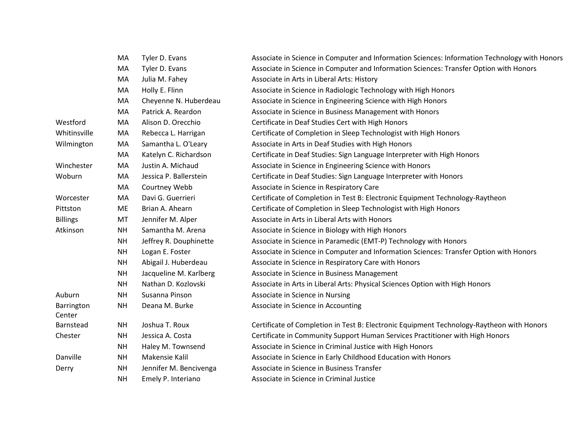|                      | МA        | Tyler D. Evans         | Associate in Science in Computer and Information Sciences: Information Technology with Honors |
|----------------------|-----------|------------------------|-----------------------------------------------------------------------------------------------|
|                      | MA        | Tyler D. Evans         | Associate in Science in Computer and Information Sciences: Transfer Option with Honors        |
|                      | MA        | Julia M. Fahey         | Associate in Arts in Liberal Arts: History                                                    |
|                      | MA        | Holly E. Flinn         | Associate in Science in Radiologic Technology with High Honors                                |
|                      | MA        | Cheyenne N. Huberdeau  | Associate in Science in Engineering Science with High Honors                                  |
|                      | MA        | Patrick A. Reardon     | Associate in Science in Business Management with Honors                                       |
| Westford             | MA        | Alison D. Orecchio     | Certificate in Deaf Studies Cert with High Honors                                             |
| Whitinsville         | MA        | Rebecca L. Harrigan    | Certificate of Completion in Sleep Technologist with High Honors                              |
| Wilmington           | MA        | Samantha L. O'Leary    | Associate in Arts in Deaf Studies with High Honors                                            |
|                      | MA        | Katelyn C. Richardson  | Certificate in Deaf Studies: Sign Language Interpreter with High Honors                       |
| Winchester           | MA        | Justin A. Michaud      | Associate in Science in Engineering Science with Honors                                       |
| Woburn               | MA        | Jessica P. Ballerstein | Certificate in Deaf Studies: Sign Language Interpreter with Honors                            |
|                      | MA        | Courtney Webb          | Associate in Science in Respiratory Care                                                      |
| Worcester            | MA        | Davi G. Guerrieri      | Certificate of Completion in Test B: Electronic Equipment Technology-Raytheon                 |
| Pittston             | ME        | Brian A. Ahearn        | Certificate of Completion in Sleep Technologist with High Honors                              |
| <b>Billings</b>      | MT        | Jennifer M. Alper      | Associate in Arts in Liberal Arts with Honors                                                 |
| Atkinson             | <b>NH</b> | Samantha M. Arena      | Associate in Science in Biology with High Honors                                              |
|                      | <b>NH</b> | Jeffrey R. Douphinette | Associate in Science in Paramedic (EMT-P) Technology with Honors                              |
|                      | <b>NH</b> | Logan E. Foster        | Associate in Science in Computer and Information Sciences: Transfer Option with Honors        |
|                      | <b>NH</b> | Abigail J. Huberdeau   | Associate in Science in Respiratory Care with Honors                                          |
|                      | <b>NH</b> | Jacqueline M. Karlberg | Associate in Science in Business Management                                                   |
|                      | <b>NH</b> | Nathan D. Kozlovski    | Associate in Arts in Liberal Arts: Physical Sciences Option with High Honors                  |
| Auburn               | <b>NH</b> | Susanna Pinson         | Associate in Science in Nursing                                                               |
| Barrington<br>Center | <b>NH</b> | Deana M. Burke         | Associate in Science in Accounting                                                            |
| Barnstead            | <b>NH</b> | Joshua T. Roux         | Certificate of Completion in Test B: Electronic Equipment Technology-Raytheon with Honors     |
| Chester              | <b>NH</b> | Jessica A. Costa       | Certificate in Community Support Human Services Practitioner with High Honors                 |
|                      | <b>NH</b> | Haley M. Townsend      | Associate in Science in Criminal Justice with High Honors                                     |
| Danville             | <b>NH</b> | Makensie Kalil         | Associate in Science in Early Childhood Education with Honors                                 |
| Derry                | <b>NH</b> | Jennifer M. Bencivenga | Associate in Science in Business Transfer                                                     |
|                      | <b>NH</b> | Emely P. Interiano     | Associate in Science in Criminal Justice                                                      |
|                      |           |                        |                                                                                               |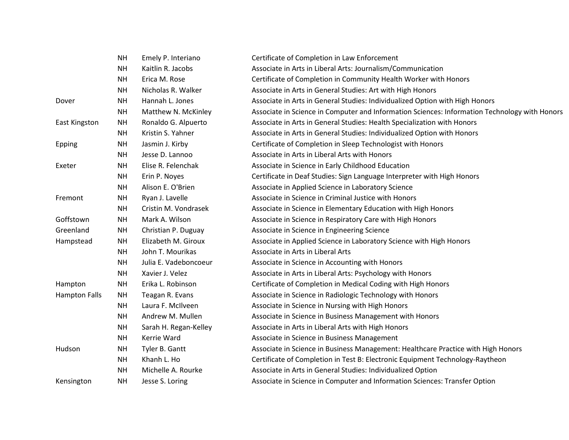|                      | <b>NH</b> | Emely P. Interiano    | Certificate of Completion in Law Enforcement                                                  |
|----------------------|-----------|-----------------------|-----------------------------------------------------------------------------------------------|
|                      | <b>NH</b> | Kaitlin R. Jacobs     | Associate in Arts in Liberal Arts: Journalism/Communication                                   |
|                      | <b>NH</b> | Erica M. Rose         | Certificate of Completion in Community Health Worker with Honors                              |
|                      | <b>NH</b> | Nicholas R. Walker    | Associate in Arts in General Studies: Art with High Honors                                    |
| Dover                | <b>NH</b> | Hannah L. Jones       | Associate in Arts in General Studies: Individualized Option with High Honors                  |
|                      | <b>NH</b> | Matthew N. McKinley   | Associate in Science in Computer and Information Sciences: Information Technology with Honors |
| <b>East Kingston</b> | NΗ        | Ronaldo G. Alpuerto   | Associate in Arts in General Studies: Health Specialization with Honors                       |
|                      | <b>NH</b> | Kristin S. Yahner     | Associate in Arts in General Studies: Individualized Option with Honors                       |
| Epping               | <b>NH</b> | Jasmin J. Kirby       | Certificate of Completion in Sleep Technologist with Honors                                   |
|                      | <b>NH</b> | Jesse D. Lannoo       | Associate in Arts in Liberal Arts with Honors                                                 |
| Exeter               | <b>NH</b> | Elise R. Felenchak    | Associate in Science in Early Childhood Education                                             |
|                      | <b>NH</b> | Erin P. Noyes         | Certificate in Deaf Studies: Sign Language Interpreter with High Honors                       |
|                      | NΗ        | Alison E. O'Brien     | Associate in Applied Science in Laboratory Science                                            |
| Fremont              | <b>NH</b> | Ryan J. Lavelle       | Associate in Science in Criminal Justice with Honors                                          |
|                      | <b>NH</b> | Cristin M. Vondrasek  | Associate in Science in Elementary Education with High Honors                                 |
| Goffstown            | <b>NH</b> | Mark A. Wilson        | Associate in Science in Respiratory Care with High Honors                                     |
| Greenland            | <b>NH</b> | Christian P. Duguay   | Associate in Science in Engineering Science                                                   |
| Hampstead            | <b>NH</b> | Elizabeth M. Giroux   | Associate in Applied Science in Laboratory Science with High Honors                           |
|                      | <b>NH</b> | John T. Mourikas      | Associate in Arts in Liberal Arts                                                             |
|                      | <b>NH</b> | Julia E. Vadeboncoeur | Associate in Science in Accounting with Honors                                                |
|                      | <b>NH</b> | Xavier J. Velez       | Associate in Arts in Liberal Arts: Psychology with Honors                                     |
| Hampton              | <b>NH</b> | Erika L. Robinson     | Certificate of Completion in Medical Coding with High Honors                                  |
| <b>Hampton Falls</b> | <b>NH</b> | Teagan R. Evans       | Associate in Science in Radiologic Technology with Honors                                     |
|                      | <b>NH</b> | Laura F. McIlveen     | Associate in Science in Nursing with High Honors                                              |
|                      | <b>NH</b> | Andrew M. Mullen      | Associate in Science in Business Management with Honors                                       |
|                      | NΗ        | Sarah H. Regan-Kelley | Associate in Arts in Liberal Arts with High Honors                                            |
|                      | <b>NH</b> | Kerrie Ward           | Associate in Science in Business Management                                                   |
| Hudson               | <b>NH</b> | Tyler B. Gantt        | Associate in Science in Business Management: Healthcare Practice with High Honors             |
|                      | <b>NH</b> | Khanh L. Ho           | Certificate of Completion in Test B: Electronic Equipment Technology-Raytheon                 |
|                      | <b>NH</b> | Michelle A. Rourke    | Associate in Arts in General Studies: Individualized Option                                   |
| Kensington           | <b>NH</b> | Jesse S. Loring       | Associate in Science in Computer and Information Sciences: Transfer Option                    |
|                      |           |                       |                                                                                               |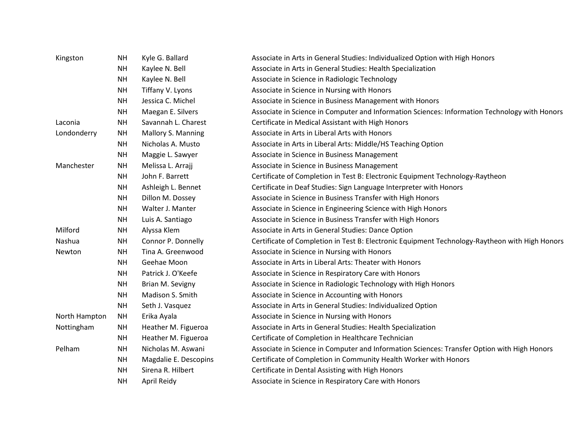| Kingston      | <b>NH</b> | Kyle G. Ballard       | Associate in Arts in General Studies: Individualized Option with High Honors                   |
|---------------|-----------|-----------------------|------------------------------------------------------------------------------------------------|
|               | <b>NH</b> | Kaylee N. Bell        | Associate in Arts in General Studies: Health Specialization                                    |
|               | <b>NH</b> | Kaylee N. Bell        | Associate in Science in Radiologic Technology                                                  |
|               | <b>NH</b> | Tiffany V. Lyons      | Associate in Science in Nursing with Honors                                                    |
|               | <b>NH</b> | Jessica C. Michel     | Associate in Science in Business Management with Honors                                        |
|               | <b>NH</b> | Maegan E. Silvers     | Associate in Science in Computer and Information Sciences: Information Technology with Honors  |
| Laconia       | <b>NH</b> | Savannah L. Charest   | Certificate in Medical Assistant with High Honors                                              |
| Londonderry   | <b>NH</b> | Mallory S. Manning    | Associate in Arts in Liberal Arts with Honors                                                  |
|               | <b>NH</b> | Nicholas A. Musto     | Associate in Arts in Liberal Arts: Middle/HS Teaching Option                                   |
|               | <b>NH</b> | Maggie L. Sawyer      | Associate in Science in Business Management                                                    |
| Manchester    | <b>NH</b> | Melissa L. Arrajj     | Associate in Science in Business Management                                                    |
|               | <b>NH</b> | John F. Barrett       | Certificate of Completion in Test B: Electronic Equipment Technology-Raytheon                  |
|               | <b>NH</b> | Ashleigh L. Bennet    | Certificate in Deaf Studies: Sign Language Interpreter with Honors                             |
|               | <b>NH</b> | Dillon M. Dossey      | Associate in Science in Business Transfer with High Honors                                     |
|               | <b>NH</b> | Walter J. Manter      | Associate in Science in Engineering Science with High Honors                                   |
|               | <b>NH</b> | Luis A. Santiago      | Associate in Science in Business Transfer with High Honors                                     |
| Milford       | NΗ        | Alyssa Klem           | Associate in Arts in General Studies: Dance Option                                             |
| Nashua        | <b>NH</b> | Connor P. Donnelly    | Certificate of Completion in Test B: Electronic Equipment Technology-Raytheon with High Honors |
| Newton        | <b>NH</b> | Tina A. Greenwood     | Associate in Science in Nursing with Honors                                                    |
|               | <b>NH</b> | Geehae Moon           | Associate in Arts in Liberal Arts: Theater with Honors                                         |
|               | <b>NH</b> | Patrick J. O'Keefe    | Associate in Science in Respiratory Care with Honors                                           |
|               | <b>NH</b> | Brian M. Sevigny      | Associate in Science in Radiologic Technology with High Honors                                 |
|               | <b>NH</b> | Madison S. Smith      | Associate in Science in Accounting with Honors                                                 |
|               | <b>NH</b> | Seth J. Vasquez       | Associate in Arts in General Studies: Individualized Option                                    |
| North Hampton | <b>NH</b> | Erika Ayala           | Associate in Science in Nursing with Honors                                                    |
| Nottingham    | <b>NH</b> | Heather M. Figueroa   | Associate in Arts in General Studies: Health Specialization                                    |
|               | <b>NH</b> | Heather M. Figueroa   | Certificate of Completion in Healthcare Technician                                             |
| Pelham        | <b>NH</b> | Nicholas M. Aswani    | Associate in Science in Computer and Information Sciences: Transfer Option with High Honors    |
|               | <b>NH</b> | Magdalie E. Descopins | Certificate of Completion in Community Health Worker with Honors                               |
|               | <b>NH</b> | Sirena R. Hilbert     | Certificate in Dental Assisting with High Honors                                               |
|               | <b>NH</b> | April Reidy           | Associate in Science in Respiratory Care with Honors                                           |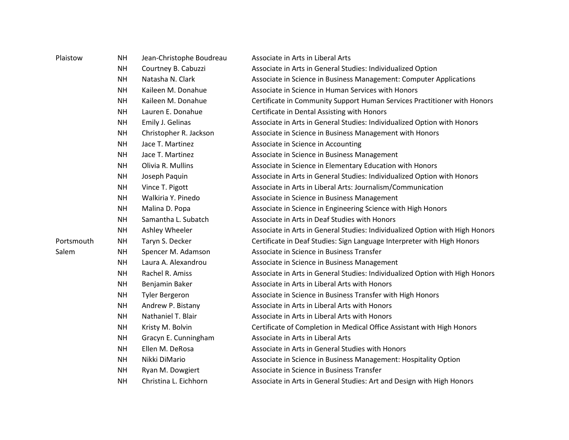| Plaistow   | <b>NH</b> | Jean-Christophe Boudreau | Associate in Arts in Liberal Arts                                            |
|------------|-----------|--------------------------|------------------------------------------------------------------------------|
|            | <b>NH</b> | Courtney B. Cabuzzi      | Associate in Arts in General Studies: Individualized Option                  |
|            | <b>NH</b> | Natasha N. Clark         | Associate in Science in Business Management: Computer Applications           |
|            | <b>NH</b> | Kaileen M. Donahue       | Associate in Science in Human Services with Honors                           |
|            | <b>NH</b> | Kaileen M. Donahue       | Certificate in Community Support Human Services Practitioner with Honors     |
|            | <b>NH</b> | Lauren E. Donahue        | Certificate in Dental Assisting with Honors                                  |
|            | <b>NH</b> | Emily J. Gelinas         | Associate in Arts in General Studies: Individualized Option with Honors      |
|            | <b>NH</b> | Christopher R. Jackson   | Associate in Science in Business Management with Honors                      |
|            | <b>NH</b> | Jace T. Martinez         | Associate in Science in Accounting                                           |
|            | <b>NH</b> | Jace T. Martinez         | Associate in Science in Business Management                                  |
|            | <b>NH</b> | Olivia R. Mullins        | Associate in Science in Elementary Education with Honors                     |
|            | <b>NH</b> | Joseph Paquin            | Associate in Arts in General Studies: Individualized Option with Honors      |
|            | <b>NH</b> | Vince T. Pigott          | Associate in Arts in Liberal Arts: Journalism/Communication                  |
|            | <b>NH</b> | Walkiria Y. Pinedo       | Associate in Science in Business Management                                  |
|            | <b>NH</b> | Malina D. Popa           | Associate in Science in Engineering Science with High Honors                 |
|            | <b>NH</b> | Samantha L. Subatch      | Associate in Arts in Deaf Studies with Honors                                |
|            | <b>NH</b> | Ashley Wheeler           | Associate in Arts in General Studies: Individualized Option with High Honors |
| Portsmouth | <b>NH</b> | Taryn S. Decker          | Certificate in Deaf Studies: Sign Language Interpreter with High Honors      |
| Salem      | <b>NH</b> | Spencer M. Adamson       | Associate in Science in Business Transfer                                    |
|            | <b>NH</b> | Laura A. Alexandrou      | Associate in Science in Business Management                                  |
|            | <b>NH</b> | Rachel R. Amiss          | Associate in Arts in General Studies: Individualized Option with High Honors |
|            | <b>NH</b> | Benjamin Baker           | Associate in Arts in Liberal Arts with Honors                                |
|            | <b>NH</b> | <b>Tyler Bergeron</b>    | Associate in Science in Business Transfer with High Honors                   |
|            | <b>NH</b> | Andrew P. Bistany        | Associate in Arts in Liberal Arts with Honors                                |
|            | <b>NH</b> | Nathaniel T. Blair       | Associate in Arts in Liberal Arts with Honors                                |
|            | <b>NH</b> | Kristy M. Bolvin         | Certificate of Completion in Medical Office Assistant with High Honors       |
|            | <b>NH</b> | Gracyn E. Cunningham     | Associate in Arts in Liberal Arts                                            |
|            | <b>NH</b> | Ellen M. DeRosa          | Associate in Arts in General Studies with Honors                             |
|            | <b>NH</b> | Nikki DiMario            | Associate in Science in Business Management: Hospitality Option              |
|            | <b>NH</b> | Ryan M. Dowgiert         | Associate in Science in Business Transfer                                    |
|            | <b>NH</b> | Christina L. Eichhorn    | Associate in Arts in General Studies: Art and Design with High Honors        |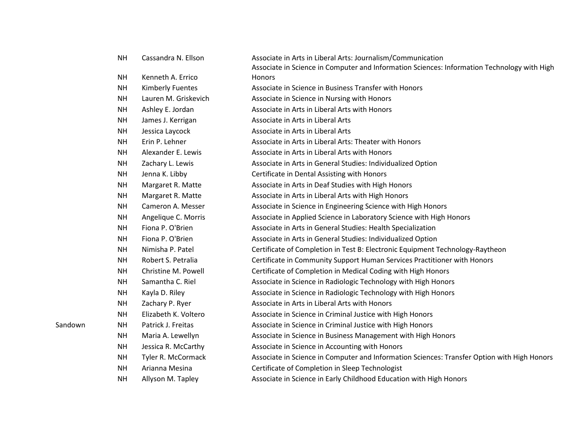|         | <b>NH</b> | Cassandra N. Ellson     | Associate in Arts in Liberal Arts: Journalism/Communication                                 |
|---------|-----------|-------------------------|---------------------------------------------------------------------------------------------|
|         |           |                         | Associate in Science in Computer and Information Sciences: Information Technology with High |
|         | <b>NH</b> | Kenneth A. Errico       | <b>Honors</b>                                                                               |
|         | <b>NH</b> | <b>Kimberly Fuentes</b> | Associate in Science in Business Transfer with Honors                                       |
|         | <b>NH</b> | Lauren M. Griskevich    | Associate in Science in Nursing with Honors                                                 |
|         | <b>NH</b> | Ashley E. Jordan        | Associate in Arts in Liberal Arts with Honors                                               |
|         | <b>NH</b> | James J. Kerrigan       | Associate in Arts in Liberal Arts                                                           |
|         | <b>NH</b> | Jessica Laycock         | Associate in Arts in Liberal Arts                                                           |
|         | <b>NH</b> | Erin P. Lehner          | Associate in Arts in Liberal Arts: Theater with Honors                                      |
|         | <b>NH</b> | Alexander E. Lewis      | Associate in Arts in Liberal Arts with Honors                                               |
|         | <b>NH</b> | Zachary L. Lewis        | Associate in Arts in General Studies: Individualized Option                                 |
|         | <b>NH</b> | Jenna K. Libby          | Certificate in Dental Assisting with Honors                                                 |
|         | <b>NH</b> | Margaret R. Matte       | Associate in Arts in Deaf Studies with High Honors                                          |
|         | <b>NH</b> | Margaret R. Matte       | Associate in Arts in Liberal Arts with High Honors                                          |
|         | <b>NH</b> | Cameron A. Messer       | Associate in Science in Engineering Science with High Honors                                |
|         | <b>NH</b> | Angelique C. Morris     | Associate in Applied Science in Laboratory Science with High Honors                         |
|         | <b>NH</b> | Fiona P. O'Brien        | Associate in Arts in General Studies: Health Specialization                                 |
|         | <b>NH</b> | Fiona P. O'Brien        | Associate in Arts in General Studies: Individualized Option                                 |
|         | <b>NH</b> | Nimisha P. Patel        | Certificate of Completion in Test B: Electronic Equipment Technology-Raytheon               |
|         | <b>NH</b> | Robert S. Petralia      | Certificate in Community Support Human Services Practitioner with Honors                    |
|         | <b>NH</b> | Christine M. Powell     | Certificate of Completion in Medical Coding with High Honors                                |
|         | <b>NH</b> | Samantha C. Riel        | Associate in Science in Radiologic Technology with High Honors                              |
|         | <b>NH</b> | Kayla D. Riley          | Associate in Science in Radiologic Technology with High Honors                              |
|         | <b>NH</b> | Zachary P. Ryer         | Associate in Arts in Liberal Arts with Honors                                               |
|         | <b>NH</b> | Elizabeth K. Voltero    | Associate in Science in Criminal Justice with High Honors                                   |
| Sandown | <b>NH</b> | Patrick J. Freitas      | Associate in Science in Criminal Justice with High Honors                                   |
|         | <b>NH</b> | Maria A. Lewellyn       | Associate in Science in Business Management with High Honors                                |
|         | <b>NH</b> | Jessica R. McCarthy     | Associate in Science in Accounting with Honors                                              |
|         | <b>NH</b> | Tyler R. McCormack      | Associate in Science in Computer and Information Sciences: Transfer Option with High Honors |
|         | <b>NH</b> | Arianna Mesina          | Certificate of Completion in Sleep Technologist                                             |
|         | <b>NH</b> | Allyson M. Tapley       | Associate in Science in Early Childhood Education with High Honors                          |
|         |           |                         |                                                                                             |